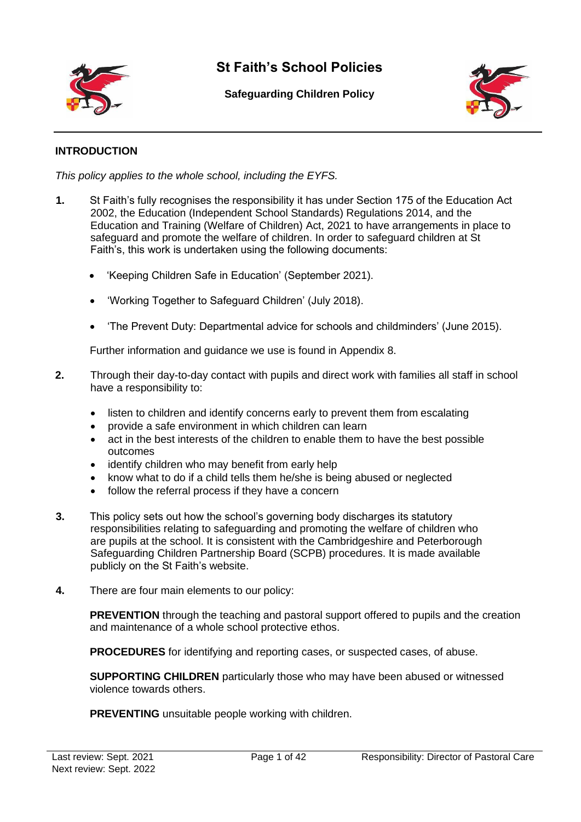

# **St Faith's School Policies**

**Safeguarding Children Policy**



### **INTRODUCTION**

*This policy applies to the whole school, including the EYFS.*

- **1.** St Faith's fully recognises the responsibility it has under Section 175 of the Education Act 2002, the Education (Independent School Standards) Regulations 2014, and the Education and Training (Welfare of Children) Act, 2021 to have arrangements in place to safeguard and promote the welfare of children. In order to safeguard children at St Faith's, this work is undertaken using the following documents:
	- 'Keeping Children Safe in Education' (September 2021).
	- 'Working Together to Safeguard Children' (July 2018).
	- 'The Prevent Duty: Departmental advice for schools and childminders' (June 2015).

Further information and guidance we use is found in Appendix 8.

- **2.** Through their day-to-day contact with pupils and direct work with families all staff in school have a responsibility to:
	- listen to children and identify concerns early to prevent them from escalating
	- provide a safe environment in which children can learn
	- act in the best interests of the children to enable them to have the best possible outcomes
	- identify children who may benefit from early help
	- know what to do if a child tells them he/she is being abused or neglected
	- follow the referral process if they have a concern
- **3.** This policy sets out how the school's governing body discharges its statutory responsibilities relating to safeguarding and promoting the welfare of children who are pupils at the school. It is consistent with the Cambridgeshire and Peterborough Safeguarding Children Partnership Board (SCPB) procedures. It is made available publicly on the St Faith's website.
- **4.** There are four main elements to our policy:

**PREVENTION** through the teaching and pastoral support offered to pupils and the creation and maintenance of a whole school protective ethos.

**PROCEDURES** for identifying and reporting cases, or suspected cases, of abuse.

**SUPPORTING CHILDREN** particularly those who may have been abused or witnessed violence towards others.

**PREVENTING** unsuitable people working with children.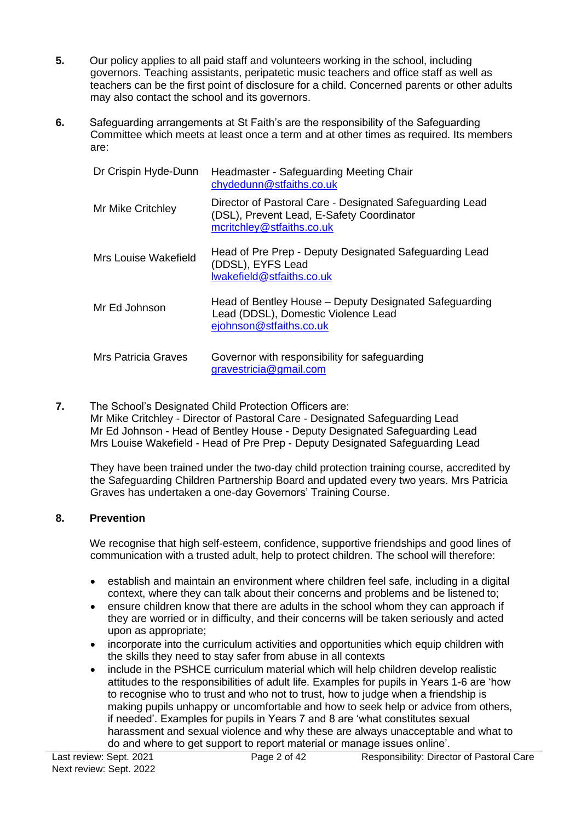- **5.** Our policy applies to all paid staff and volunteers working in the school, including governors. Teaching assistants, peripatetic music teachers and office staff as well as teachers can be the first point of disclosure for a child. Concerned parents or other adults may also contact the school and its governors.
- **6.** Safeguarding arrangements at St Faith's are the responsibility of the Safeguarding Committee which meets at least once a term and at other times as required. Its members are:

| Dr Crispin Hyde-Dunn       | Headmaster - Safeguarding Meeting Chair<br>chydedunn@stfaiths.co.uk                                                                |
|----------------------------|------------------------------------------------------------------------------------------------------------------------------------|
| Mr Mike Critchley          | Director of Pastoral Care - Designated Safeguarding Lead<br>(DSL), Prevent Lead, E-Safety Coordinator<br>mcritchley@stfaiths.co.uk |
| Mrs Louise Wakefield       | Head of Pre Prep - Deputy Designated Safeguarding Lead<br>(DDSL), EYFS Lead<br>lwakefield@stfaiths.co.uk                           |
| Mr Ed Johnson              | Head of Bentley House – Deputy Designated Safeguarding<br>Lead (DDSL), Domestic Violence Lead<br>ejohnson@stfaiths.co.uk           |
| <b>Mrs Patricia Graves</b> | Governor with responsibility for safeguarding<br>gravestricia@gmail.com                                                            |

**7.** The School's Designated Child Protection Officers are: Mr Mike Critchley - Director of Pastoral Care - Designated Safeguarding Lead Mr Ed Johnson - Head of Bentley House - Deputy Designated Safeguarding Lead Mrs Louise Wakefield - Head of Pre Prep - Deputy Designated Safeguarding Lead

They have been trained under the two-day child protection training course, accredited by the Safeguarding Children Partnership Board and updated every two years. Mrs Patricia Graves has undertaken a one-day Governors' Training Course.

### **8. Prevention**

We recognise that high self-esteem, confidence, supportive friendships and good lines of communication with a trusted adult, help to protect children. The school will therefore:

- establish and maintain an environment where children feel safe, including in a digital context, where they can talk about their concerns and problems and be listened to;
- ensure children know that there are adults in the school whom they can approach if they are worried or in difficulty, and their concerns will be taken seriously and acted upon as appropriate;
- incorporate into the curriculum activities and opportunities which equip children with the skills they need to stay safer from abuse in all contexts
- include in the PSHCE curriculum material which will help children develop realistic attitudes to the responsibilities of adult life. Examples for pupils in Years 1-6 are 'how to recognise who to trust and who not to trust, how to judge when a friendship is making pupils unhappy or uncomfortable and how to seek help or advice from others, if needed'. Examples for pupils in Years 7 and 8 are 'what constitutes sexual harassment and sexual violence and why these are always unacceptable and what to do and where to get support to report material or manage issues online'.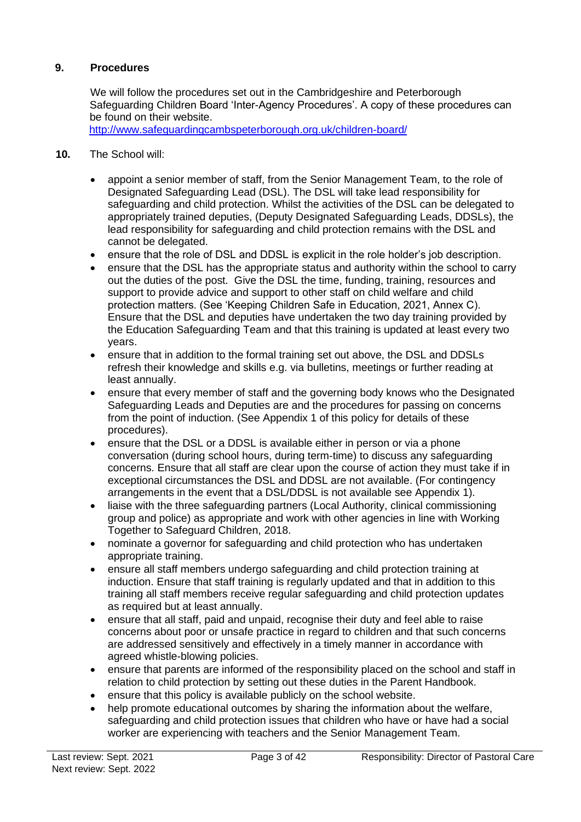### **9. Procedures**

We will follow the procedures set out in the Cambridgeshire and Peterborough Safeguarding Children Board 'Inter-Agency Procedures'. A copy of these procedures can be found on their website.

<http://www.safeguardingcambspeterborough.org.uk/children-board/>

- **10.** The School will:
	- appoint a senior member of staff, from the Senior Management Team, to the role of Designated Safeguarding Lead (DSL). The DSL will take lead responsibility for safeguarding and child protection. Whilst the activities of the DSL can be delegated to appropriately trained deputies, (Deputy Designated Safeguarding Leads, DDSLs), the lead responsibility for safeguarding and child protection remains with the DSL and cannot be delegated.
	- ensure that the role of DSL and DDSL is explicit in the role holder's job description.
	- ensure that the DSL has the appropriate status and authority within the school to carry out the duties of the post. Give the DSL the time, funding, training, resources and support to provide advice and support to other staff on child welfare and child protection matters. (See 'Keeping Children Safe in Education, 2021, Annex C). Ensure that the DSL and deputies have undertaken the two day training provided by the Education Safeguarding Team and that this training is updated at least every two years.
	- ensure that in addition to the formal training set out above, the DSL and DDSLs refresh their knowledge and skills e.g. via bulletins, meetings or further reading at least annually.
	- ensure that every member of staff and the governing body knows who the Designated Safeguarding Leads and Deputies are and the procedures for passing on concerns from the point of induction. (See Appendix 1 of this policy for details of these procedures).
	- ensure that the DSL or a DDSL is available either in person or via a phone conversation (during school hours, during term-time) to discuss any safeguarding concerns. Ensure that all staff are clear upon the course of action they must take if in exceptional circumstances the DSL and DDSL are not available. (For contingency arrangements in the event that a DSL/DDSL is not available see Appendix 1).
	- liaise with the three safeguarding partners (Local Authority, clinical commissioning group and police) as appropriate and work with other agencies in line with Working Together to Safeguard Children, 2018.
	- nominate a governor for safeguarding and child protection who has undertaken appropriate training.
	- ensure all staff members undergo safeguarding and child protection training at induction. Ensure that staff training is regularly updated and that in addition to this training all staff members receive regular safeguarding and child protection updates as required but at least annually.
	- ensure that all staff, paid and unpaid, recognise their duty and feel able to raise concerns about poor or unsafe practice in regard to children and that such concerns are addressed sensitively and effectively in a timely manner in accordance with agreed whistle-blowing policies.
	- ensure that parents are informed of the responsibility placed on the school and staff in relation to child protection by setting out these duties in the Parent Handbook.
	- ensure that this policy is available publicly on the school website.
	- help promote educational outcomes by sharing the information about the welfare, safeguarding and child protection issues that children who have or have had a social worker are experiencing with teachers and the Senior Management Team.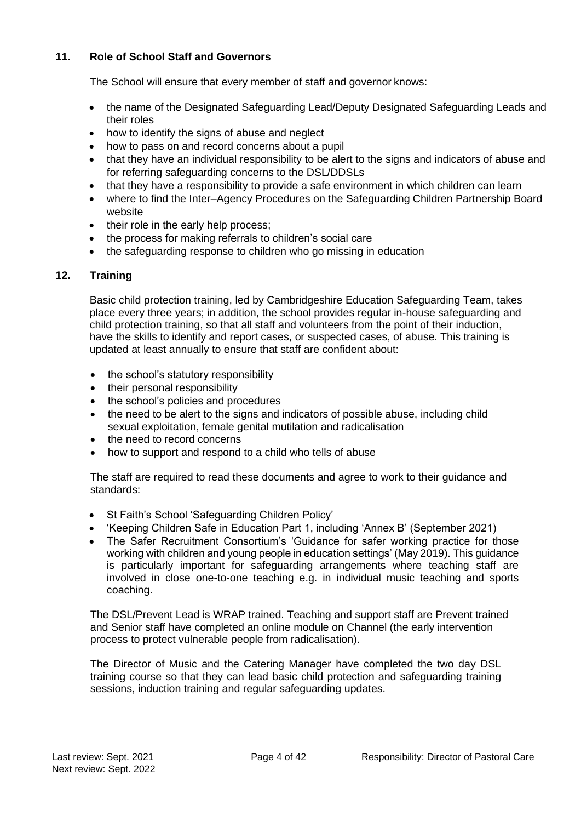### **11. Role of School Staff and Governors**

The School will ensure that every member of staff and governor knows:

- the name of the Designated Safeguarding Lead/Deputy Designated Safeguarding Leads and their roles
- how to identify the signs of abuse and neglect
- how to pass on and record concerns about a pupil
- that they have an individual responsibility to be alert to the signs and indicators of abuse and for referring safeguarding concerns to the DSL/DDSLs
- that they have a responsibility to provide a safe environment in which children can learn
- where to find the Inter–Agency Procedures on the Safeguarding Children Partnership Board website
- their role in the early help process;
- the process for making referrals to children's social care
- the safeguarding response to children who go missing in education

### **12. Training**

Basic child protection training, led by Cambridgeshire Education Safeguarding Team, takes place every three years; in addition, the school provides regular in-house safeguarding and child protection training, so that all staff and volunteers from the point of their induction, have the skills to identify and report cases, or suspected cases, of abuse. This training is updated at least annually to ensure that staff are confident about:

- the school's statutory responsibility
- their personal responsibility
- the school's policies and procedures
- the need to be alert to the signs and indicators of possible abuse, including child sexual exploitation, female genital mutilation and radicalisation
- the need to record concerns
- how to support and respond to a child who tells of abuse

The staff are required to read these documents and agree to work to their guidance and standards:

- St Faith's School 'Safeguarding Children Policy'
- 'Keeping Children Safe in Education Part 1, including 'Annex B' (September 2021)
- The Safer Recruitment Consortium's 'Guidance for safer working practice for those working with children and young people in education settings' (May 2019). This guidance is particularly important for safeguarding arrangements where teaching staff are involved in close one-to-one teaching e.g. in individual music teaching and sports coaching.

The DSL/Prevent Lead is WRAP trained. Teaching and support staff are Prevent trained and Senior staff have completed an online module on Channel (the early intervention process to protect vulnerable people from radicalisation).

The Director of Music and the Catering Manager have completed the two day DSL training course so that they can lead basic child protection and safeguarding training sessions, induction training and regular safeguarding updates.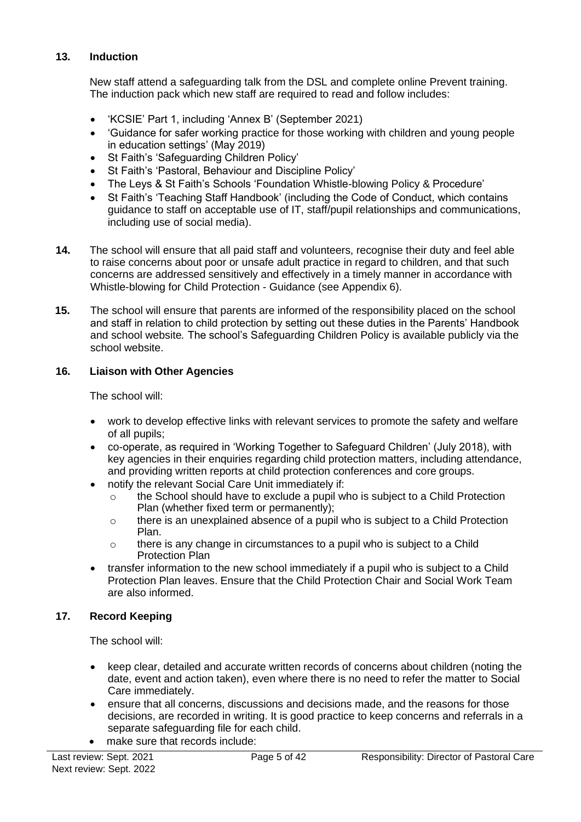### **13. Induction**

New staff attend a safeguarding talk from the DSL and complete online Prevent training. The induction pack which new staff are required to read and follow includes:

- 'KCSIE' Part 1, including 'Annex B' (September 2021)
- 'Guidance for safer working practice for those working with children and young people in education settings' (May 2019)
- St Faith's 'Safeguarding Children Policy'
- St Faith's 'Pastoral, Behaviour and Discipline Policy'
- The Leys & St Faith's Schools 'Foundation Whistle-blowing Policy & Procedure'
- St Faith's 'Teaching Staff Handbook' (including the Code of Conduct, which contains guidance to staff on acceptable use of IT, staff/pupil relationships and communications, including use of social media).
- **14.** The school will ensure that all paid staff and volunteers, recognise their duty and feel able to raise concerns about poor or unsafe adult practice in regard to children, and that such concerns are addressed sensitively and effectively in a timely manner in accordance with Whistle-blowing for Child Protection - Guidance (see Appendix 6).
- **15.** The school will ensure that parents are informed of the responsibility placed on the school and staff in relation to child protection by setting out these duties in the Parents' Handbook and school website*.* The school's Safeguarding Children Policy is available publicly via the school website.

### **16. Liaison with Other Agencies**

The school will:

- work to develop effective links with relevant services to promote the safety and welfare of all pupils;
- co-operate, as required in 'Working Together to Safeguard Children' (July 2018), with key agencies in their enquiries regarding child protection matters, including attendance, and providing written reports at child protection conferences and core groups.
- notify the relevant Social Care Unit immediately if:
	- $\circ$  the School should have to exclude a pupil who is subject to a Child Protection Plan (whether fixed term or permanently);
	- $\circ$  there is an unexplained absence of a pupil who is subject to a Child Protection Plan.
	- $\circ$  there is any change in circumstances to a pupil who is subject to a Child Protection Plan
- transfer information to the new school immediately if a pupil who is subject to a Child Protection Plan leaves. Ensure that the Child Protection Chair and Social Work Team are also informed.

### **17. Record Keeping**

The school will:

- keep clear, detailed and accurate written records of concerns about children (noting the date, event and action taken), even where there is no need to refer the matter to Social Care immediately.
- ensure that all concerns, discussions and decisions made, and the reasons for those decisions, are recorded in writing. It is good practice to keep concerns and referrals in a separate safeguarding file for each child.
- make sure that records include: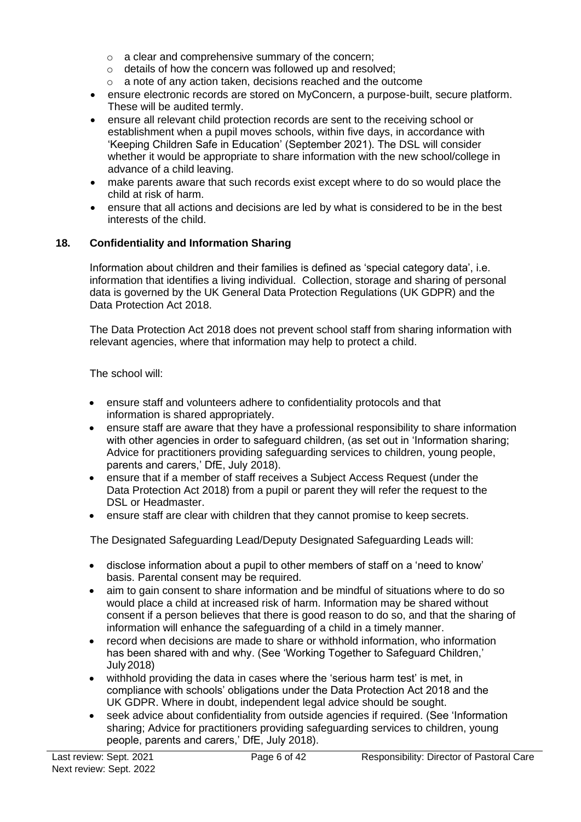- o a clear and comprehensive summary of the concern;
- o details of how the concern was followed up and resolved;
- o a note of any action taken, decisions reached and the outcome
- ensure electronic records are stored on MyConcern, a purpose-built, secure platform. These will be audited termly.
- ensure all relevant child protection records are sent to the receiving school or establishment when a pupil moves schools, within five days, in accordance with 'Keeping Children Safe in Education' (September 2021). The DSL will consider whether it would be appropriate to share information with the new school/college in advance of a child leaving.
- make parents aware that such records exist except where to do so would place the child at risk of harm.
- ensure that all actions and decisions are led by what is considered to be in the best interests of the child.

### **18. Confidentiality and Information Sharing**

Information about children and their families is defined as 'special category data', i.e. information that identifies a living individual. Collection, storage and sharing of personal data is governed by the UK General Data Protection Regulations (UK GDPR) and the Data Protection Act 2018.

The Data Protection Act 2018 does not prevent school staff from sharing information with relevant agencies, where that information may help to protect a child.

The school will:

- ensure staff and volunteers adhere to confidentiality protocols and that information is shared appropriately.
- ensure staff are aware that they have a professional responsibility to share information with other agencies in order to safeguard children, (as set out in 'Information sharing; Advice for practitioners providing safeguarding services to children, young people, parents and carers,' DfE, July 2018).
- ensure that if a member of staff receives a Subject Access Request (under the Data Protection Act 2018) from a pupil or parent they will refer the request to the DSL or Headmaster.
- ensure staff are clear with children that they cannot promise to keep secrets.

The Designated Safeguarding Lead/Deputy Designated Safeguarding Leads will:

- disclose information about a pupil to other members of staff on a 'need to know' basis. Parental consent may be required.
- aim to gain consent to share information and be mindful of situations where to do so would place a child at increased risk of harm. Information may be shared without consent if a person believes that there is good reason to do so, and that the sharing of information will enhance the safeguarding of a child in a timely manner.
- record when decisions are made to share or withhold information, who information has been shared with and why. (See 'Working Together to Safeguard Children,' July 2018)
- withhold providing the data in cases where the 'serious harm test' is met, in compliance with schools' obligations under the Data Protection Act 2018 and the UK GDPR. Where in doubt, independent legal advice should be sought.
- seek advice about confidentiality from outside agencies if required. (See 'Information sharing; Advice for practitioners providing safeguarding services to children, young people, parents and carers,' DfE, July 2018).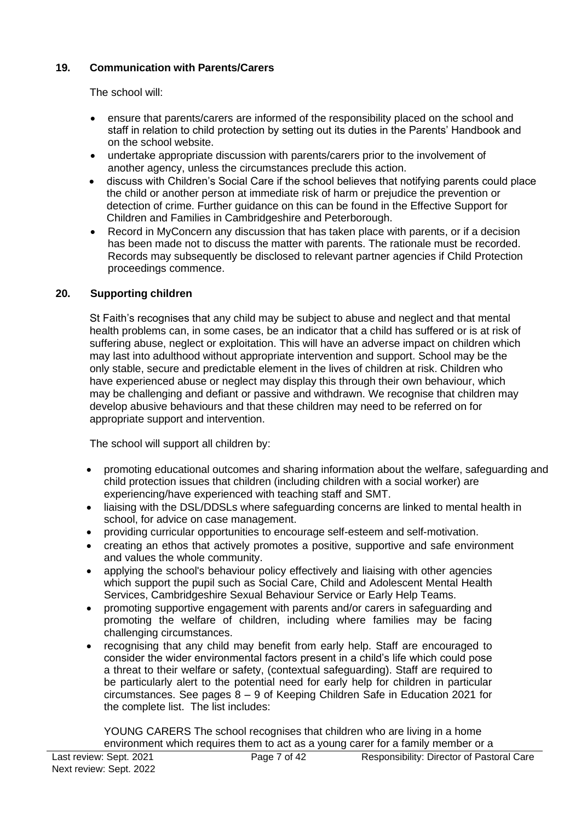### **19. Communication with Parents/Carers**

The school will:

- ensure that parents/carers are informed of the responsibility placed on the school and staff in relation to child protection by setting out its duties in the Parents' Handbook and on the school website.
- undertake appropriate discussion with parents/carers prior to the involvement of another agency, unless the circumstances preclude this action.
- discuss with Children's Social Care if the school believes that notifying parents could place the child or another person at immediate risk of harm or prejudice the prevention or detection of crime. Further guidance on this can be found in the Effective Support for Children and Families in Cambridgeshire and Peterborough.
- Record in MyConcern any discussion that has taken place with parents, or if a decision has been made not to discuss the matter with parents. The rationale must be recorded. Records may subsequently be disclosed to relevant partner agencies if Child Protection proceedings commence.

### **20. Supporting children**

St Faith's recognises that any child may be subject to abuse and neglect and that mental health problems can, in some cases, be an indicator that a child has suffered or is at risk of suffering abuse, neglect or exploitation. This will have an adverse impact on children which may last into adulthood without appropriate intervention and support. School may be the only stable, secure and predictable element in the lives of children at risk. Children who have experienced abuse or neglect may display this through their own behaviour, which may be challenging and defiant or passive and withdrawn. We recognise that children may develop abusive behaviours and that these children may need to be referred on for appropriate support and intervention.

The school will support all children by:

- promoting educational outcomes and sharing information about the welfare, safeguarding and child protection issues that children (including children with a social worker) are experiencing/have experienced with teaching staff and SMT.
- liaising with the DSL/DDSLs where safeguarding concerns are linked to mental health in school, for advice on case management.
- providing curricular opportunities to encourage self-esteem and self-motivation.
- creating an ethos that actively promotes a positive, supportive and safe environment and values the whole community.
- applying the school's behaviour policy effectively and liaising with other agencies which support the pupil such as Social Care, Child and Adolescent Mental Health Services, Cambridgeshire Sexual Behaviour Service or Early Help Teams.
- promoting supportive engagement with parents and/or carers in safeguarding and promoting the welfare of children, including where families may be facing challenging circumstances.
- recognising that any child may benefit from early help. Staff are encouraged to consider the wider environmental factors present in a child's life which could pose a threat to their welfare or safety, (contextual safeguarding). Staff are required to be particularly alert to the potential need for early help for children in particular circumstances. See pages 8 – 9 of Keeping Children Safe in Education 2021 for the complete list. The list includes:

YOUNG CARERS The school recognises that children who are living in a home environment which requires them to act as a young carer for a family member or a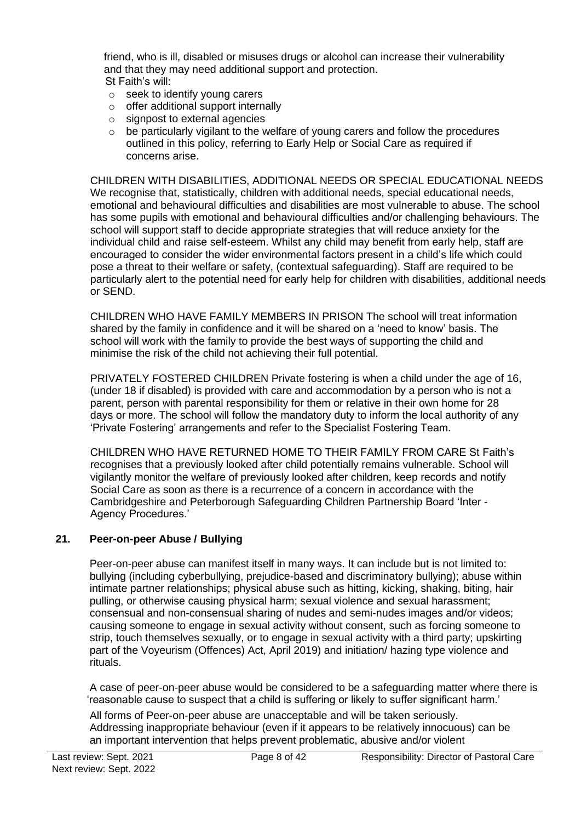friend, who is ill, disabled or misuses drugs or alcohol can increase their vulnerability and that they may need additional support and protection. St Faith's will:

- o seek to identify young carers
- $\circ$  offer additional support internally
- o signpost to external agencies
- be particularly vigilant to the welfare of young carers and follow the procedures outlined in this policy, referring to Early Help or Social Care as required if concerns arise.

CHILDREN WITH DISABILITIES, ADDITIONAL NEEDS OR SPECIAL EDUCATIONAL NEEDS We recognise that, statistically, children with additional needs, special educational needs, emotional and behavioural difficulties and disabilities are most vulnerable to abuse. The school has some pupils with emotional and behavioural difficulties and/or challenging behaviours. The school will support staff to decide appropriate strategies that will reduce anxiety for the individual child and raise self-esteem. Whilst any child may benefit from early help, staff are encouraged to consider the wider environmental factors present in a child's life which could pose a threat to their welfare or safety, (contextual safeguarding). Staff are required to be particularly alert to the potential need for early help for children with disabilities, additional needs or SEND.

CHILDREN WHO HAVE FAMILY MEMBERS IN PRISON The school will treat information shared by the family in confidence and it will be shared on a 'need to know' basis. The school will work with the family to provide the best ways of supporting the child and minimise the risk of the child not achieving their full potential.

PRIVATELY FOSTERED CHILDREN Private fostering is when a child under the age of 16, (under 18 if disabled) is provided with care and accommodation by a person who is not a parent, person with parental responsibility for them or relative in their own home for 28 days or more. The school will follow the mandatory duty to inform the local authority of any 'Private Fostering' arrangements and refer to the Specialist Fostering Team.

CHILDREN WHO HAVE RETURNED HOME TO THEIR FAMILY FROM CARE St Faith's recognises that a previously looked after child potentially remains vulnerable. School will vigilantly monitor the welfare of previously looked after children, keep records and notify Social Care as soon as there is a recurrence of a concern in accordance with the Cambridgeshire and Peterborough Safeguarding Children Partnership Board 'Inter - Agency Procedures.'

### **21. Peer-on-peer Abuse / Bullying**

Peer-on-peer abuse can manifest itself in many ways. It can include but is not limited to: bullying (including cyberbullying, prejudice-based and discriminatory bullying); abuse within intimate partner relationships; physical abuse such as hitting, kicking, shaking, biting, hair pulling, or otherwise causing physical harm; sexual violence and sexual harassment; consensual and non-consensual sharing of nudes and semi-nudes images and/or videos; causing someone to engage in sexual activity without consent, such as forcing someone to strip, touch themselves sexually, or to engage in sexual activity with a third party; upskirting part of the Voyeurism (Offences) Act, April 2019) and initiation/ hazing type violence and rituals.

A case of peer-on-peer abuse would be considered to be a safeguarding matter where there is 'reasonable cause to suspect that a child is suffering or likely to suffer significant harm.'

All forms of Peer-on-peer abuse are unacceptable and will be taken seriously. Addressing inappropriate behaviour (even if it appears to be relatively innocuous) can be an important intervention that helps prevent problematic, abusive and/or violent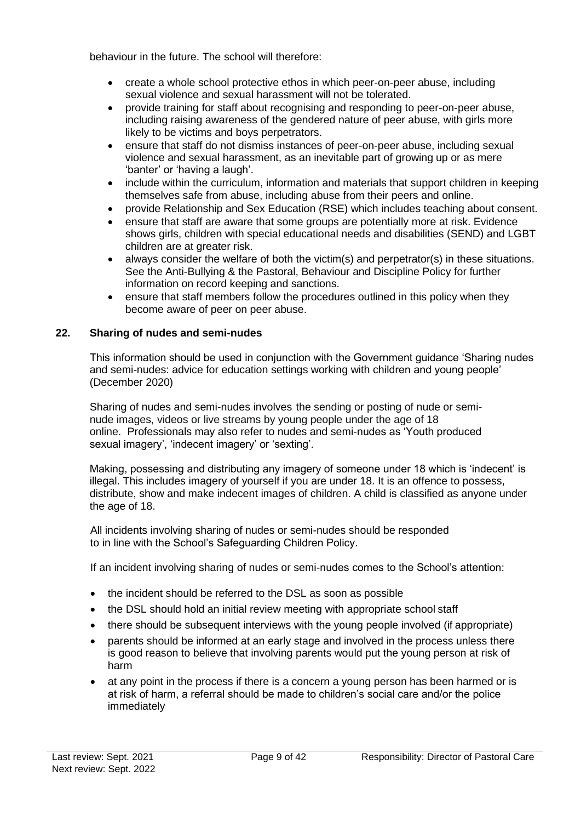behaviour in the future. The school will therefore:

- create a whole school protective ethos in which peer-on-peer abuse, including sexual violence and sexual harassment will not be tolerated.
- provide training for staff about recognising and responding to peer-on-peer abuse, including raising awareness of the gendered nature of peer abuse, with girls more likely to be victims and boys perpetrators.
- ensure that staff do not dismiss instances of peer-on-peer abuse, including sexual violence and sexual harassment, as an inevitable part of growing up or as mere 'banter' or 'having a laugh'.
- include within the curriculum, information and materials that support children in keeping themselves safe from abuse, including abuse from their peers and online.
- provide Relationship and Sex Education (RSE) which includes teaching about consent.
- ensure that staff are aware that some groups are potentially more at risk. Evidence shows girls, children with special educational needs and disabilities (SEND) and LGBT children are at greater risk.
- always consider the welfare of both the victim(s) and perpetrator(s) in these situations. See the Anti-Bullying & the Pastoral, Behaviour and Discipline Policy for further information on record keeping and sanctions.
- ensure that staff members follow the procedures outlined in this policy when they become aware of peer on peer abuse.

### **22. Sharing of nudes and semi-nudes**

This information should be used in conjunction with the Government guidance 'Sharing nudes and semi-nudes: advice for education settings working with children and young people' (December 2020)

Sharing of nudes and semi-nudes involves the sending or posting of nude or seminude images, videos or live streams by young people under the age of 18 online. Professionals may also refer to nudes and semi-nudes as 'Youth produced sexual imagery', 'indecent imagery' or 'sexting'.

Making, possessing and distributing any imagery of someone under 18 which is 'indecent' is illegal. This includes imagery of yourself if you are under 18. It is an offence to possess, distribute, show and make indecent images of children. A child is classified as anyone under the age of 18.

All incidents involving sharing of nudes or semi-nudes should be responded to in line with the School's Safeguarding Children Policy.

If an incident involving sharing of nudes or semi-nudes comes to the School's attention:

- the incident should be referred to the DSL as soon as possible
- the DSL should hold an initial review meeting with appropriate school staff
- there should be subsequent interviews with the young people involved (if appropriate)
- parents should be informed at an early stage and involved in the process unless there is good reason to believe that involving parents would put the young person at risk of harm
- at any point in the process if there is a concern a young person has been harmed or is at risk of harm, a referral should be made to children's social care and/or the police immediately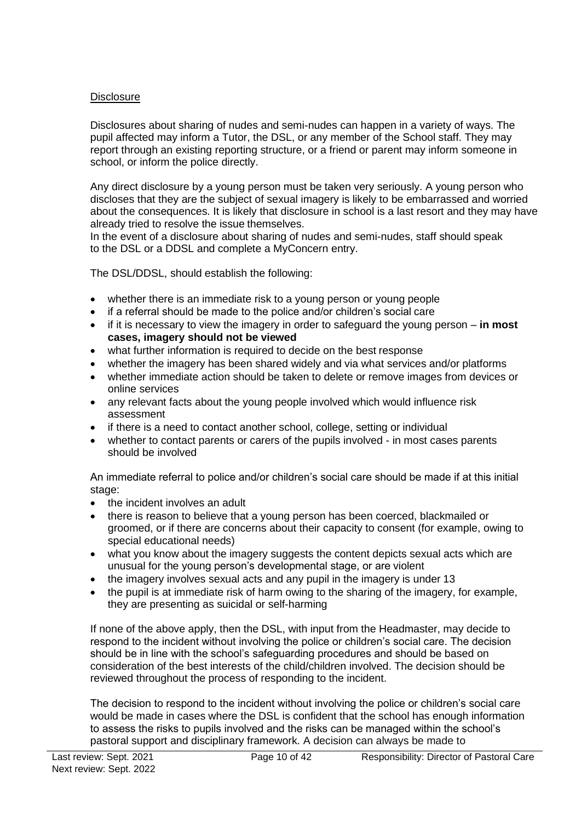### **Disclosure**

Disclosures about sharing of nudes and semi-nudes can happen in a variety of ways. The pupil affected may inform a Tutor, the DSL, or any member of the School staff. They may report through an existing reporting structure, or a friend or parent may inform someone in school, or inform the police directly.

Any direct disclosure by a young person must be taken very seriously. A young person who discloses that they are the subject of sexual imagery is likely to be embarrassed and worried about the consequences. It is likely that disclosure in school is a last resort and they may have already tried to resolve the issue themselves.

In the event of a disclosure about sharing of nudes and semi-nudes, staff should speak to the DSL or a DDSL and complete a MyConcern entry.

The DSL/DDSL, should establish the following:

- whether there is an immediate risk to a young person or young people
- if a referral should be made to the police and/or children's social care
- if it is necessary to view the imagery in order to safeguard the young person **in most cases, imagery should not be viewed**
- what further information is required to decide on the best response
- whether the imagery has been shared widely and via what services and/or platforms
- whether immediate action should be taken to delete or remove images from devices or online services
- any relevant facts about the young people involved which would influence risk assessment
- if there is a need to contact another school, college, setting or individual
- whether to contact parents or carers of the pupils involved in most cases parents should be involved

An immediate referral to police and/or children's social care should be made if at this initial stage:

- the incident involves an adult
- there is reason to believe that a young person has been coerced, blackmailed or groomed, or if there are concerns about their capacity to consent (for example, owing to special educational needs)
- what you know about the imagery suggests the content depicts sexual acts which are unusual for the young person's developmental stage, or are violent
- the imagery involves sexual acts and any pupil in the imagery is under 13
- the pupil is at immediate risk of harm owing to the sharing of the imagery, for example, they are presenting as suicidal or self-harming

If none of the above apply, then the DSL, with input from the Headmaster, may decide to respond to the incident without involving the police or children's social care. The decision should be in line with the school's safeguarding procedures and should be based on consideration of the best interests of the child/children involved. The decision should be reviewed throughout the process of responding to the incident.

The decision to respond to the incident without involving the police or children's social care would be made in cases where the DSL is confident that the school has enough information to assess the risks to pupils involved and the risks can be managed within the school's pastoral support and disciplinary framework. A decision can always be made to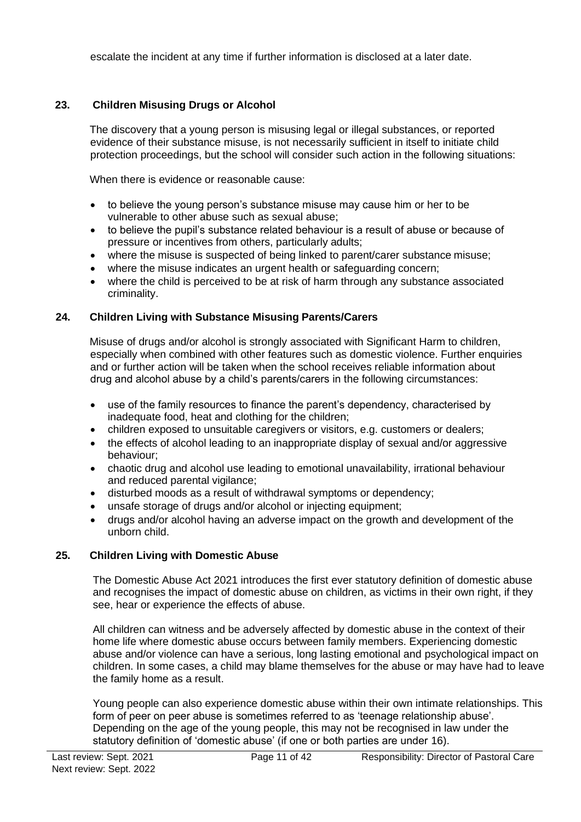escalate the incident at any time if further information is disclosed at a later date.

## **23. Children Misusing Drugs or Alcohol**

The discovery that a young person is misusing legal or illegal substances, or reported evidence of their substance misuse, is not necessarily sufficient in itself to initiate child protection proceedings, but the school will consider such action in the following situations:

When there is evidence or reasonable cause:

- to believe the young person's substance misuse may cause him or her to be vulnerable to other abuse such as sexual abuse;
- to believe the pupil's substance related behaviour is a result of abuse or because of pressure or incentives from others, particularly adults;
- where the misuse is suspected of being linked to parent/carer substance misuse;
- where the misuse indicates an urgent health or safeguarding concern;
- where the child is perceived to be at risk of harm through any substance associated criminality.

## **24. Children Living with Substance Misusing Parents/Carers**

Misuse of drugs and/or alcohol is strongly associated with Significant Harm to children, especially when combined with other features such as domestic violence. Further enquiries and or further action will be taken when the school receives reliable information about drug and alcohol abuse by a child's parents/carers in the following circumstances:

- use of the family resources to finance the parent's dependency, characterised by inadequate food, heat and clothing for the children;
- children exposed to unsuitable caregivers or visitors, e.g. customers or dealers;
- the effects of alcohol leading to an inappropriate display of sexual and/or aggressive behaviour;
- chaotic drug and alcohol use leading to emotional unavailability, irrational behaviour and reduced parental vigilance;
- disturbed moods as a result of withdrawal symptoms or dependency;
- unsafe storage of drugs and/or alcohol or injecting equipment;
- drugs and/or alcohol having an adverse impact on the growth and development of the unborn child.

## **25. Children Living with Domestic Abuse**

 The Domestic Abuse Act 2021 introduces the first ever statutory definition of domestic abuse and recognises the impact of domestic abuse on children, as victims in their own right, if they see, hear or experience the effects of abuse.

 All children can witness and be adversely affected by domestic abuse in the context of their home life where domestic abuse occurs between family members. Experiencing domestic abuse and/or violence can have a serious, long lasting emotional and psychological impact on children. In some cases, a child may blame themselves for the abuse or may have had to leave the family home as a result.

 Young people can also experience domestic abuse within their own intimate relationships. This form of peer on peer abuse is sometimes referred to as 'teenage relationship abuse'. Depending on the age of the young people, this may not be recognised in law under the statutory definition of 'domestic abuse' (if one or both parties are under 16).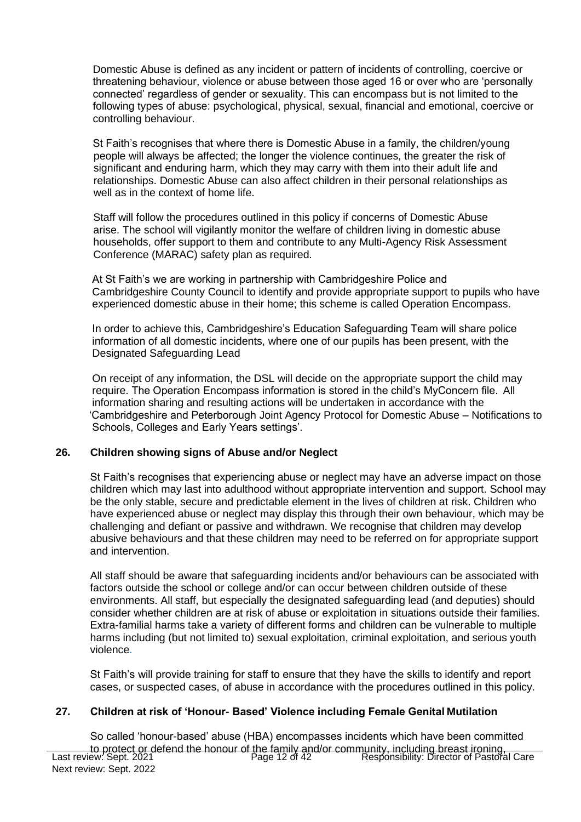Domestic Abuse is defined as any incident or pattern of incidents of controlling, coercive or threatening behaviour, violence or abuse between those aged 16 or over who are 'personally connected' regardless of gender or sexuality. This can encompass but is not limited to the following types of abuse: psychological, physical, sexual, financial and emotional, coercive or controlling behaviour.

St Faith's recognises that where there is Domestic Abuse in a family, the children/young people will always be affected; the longer the violence continues, the greater the risk of significant and enduring harm, which they may carry with them into their adult life and relationships. Domestic Abuse can also affect children in their personal relationships as well as in the context of home life.

Staff will follow the procedures outlined in this policy if concerns of Domestic Abuse arise. The school will vigilantly monitor the welfare of children living in domestic abuse households, offer support to them and contribute to any Multi-Agency Risk Assessment Conference (MARAC) safety plan as required.

 At St Faith's we are working in partnership with Cambridgeshire Police and Cambridgeshire County Council to identify and provide appropriate support to pupils who have experienced domestic abuse in their home; this scheme is called Operation Encompass.

 In order to achieve this, Cambridgeshire's Education Safeguarding Team will share police information of all domestic incidents, where one of our pupils has been present, with the Designated Safeguarding Lead

 On receipt of any information, the DSL will decide on the appropriate support the child may require. The Operation Encompass information is stored in the child's MyConcern file. All information sharing and resulting actions will be undertaken in accordance with the 'Cambridgeshire and Peterborough Joint Agency Protocol for Domestic Abuse – Notifications to Schools, Colleges and Early Years settings'.

#### **26. Children showing signs of Abuse and/or Neglect**

St Faith's recognises that experiencing abuse or neglect may have an adverse impact on those children which may last into adulthood without appropriate intervention and support. School may be the only stable, secure and predictable element in the lives of children at risk. Children who have experienced abuse or neglect may display this through their own behaviour, which may be challenging and defiant or passive and withdrawn. We recognise that children may develop abusive behaviours and that these children may need to be referred on for appropriate support and intervention.

All staff should be aware that safeguarding incidents and/or behaviours can be associated with factors outside the school or college and/or can occur between children outside of these environments. All staff, but especially the designated safeguarding lead (and deputies) should consider whether children are at risk of abuse or exploitation in situations outside their families. Extra-familial harms take a variety of different forms and children can be vulnerable to multiple harms including (but not limited to) sexual exploitation, criminal exploitation, and serious youth violence.

St Faith's will provide training for staff to ensure that they have the skills to identify and report cases, or suspected cases, of abuse in accordance with the procedures outlined in this policy.

#### **27. Children at risk of 'Honour- Based' Violence including Female Genital Mutilation**

Last review: Sept. 2021 Next review: Sept. 2022 Page 12 of 42 **Responsibility: Director of Pastoral Care** So called 'honour-based' abuse (HBA) encompasses incidents which have been committed to protect or defend the honour of the family and/or community, including breast ironing,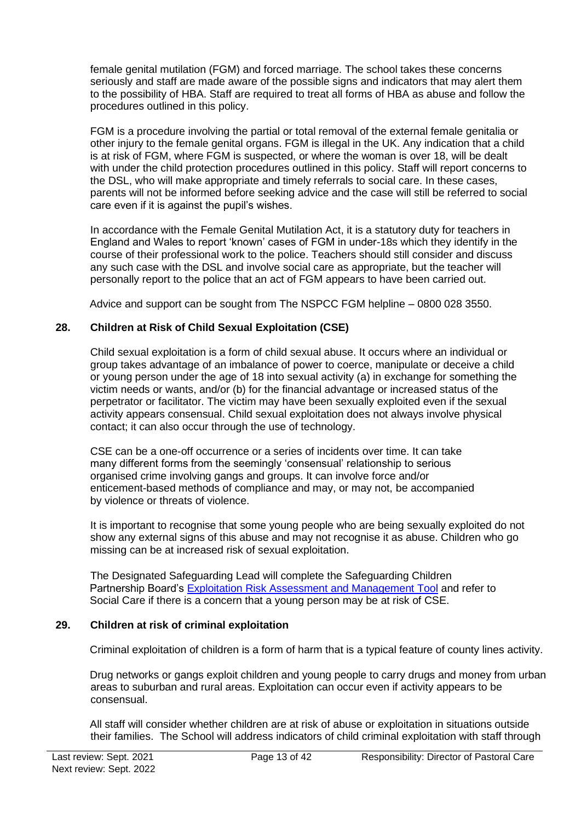female genital mutilation (FGM) and forced marriage. The school takes these concerns seriously and staff are made aware of the possible signs and indicators that may alert them to the possibility of HBA. Staff are required to treat all forms of HBA as abuse and follow the procedures outlined in this policy.

FGM is a procedure involving the partial or total removal of the external female genitalia or other injury to the female genital organs. FGM is illegal in the UK. Any indication that a child is at risk of FGM, where FGM is suspected, or where the woman is over 18, will be dealt with under the child protection procedures outlined in this policy. Staff will report concerns to the DSL, who will make appropriate and timely referrals to social care. In these cases, parents will not be informed before seeking advice and the case will still be referred to social care even if it is against the pupil's wishes.

In accordance with the Female Genital Mutilation Act, it is a statutory duty for teachers in England and Wales to report 'known' cases of FGM in under-18s which they identify in the course of their professional work to the police. Teachers should still consider and discuss any such case with the DSL and involve social care as appropriate, but the teacher will personally report to the police that an act of FGM appears to have been carried out.

Advice and support can be sought from The NSPCC FGM helpline – 0800 028 3550.

### **28. Children at Risk of Child Sexual Exploitation (CSE)**

Child sexual exploitation is a form of child sexual abuse. It occurs where an individual or group takes advantage of an imbalance of power to coerce, manipulate or deceive a child or young person under the age of 18 into sexual activity (a) in exchange for something the victim needs or wants, and/or (b) for the financial advantage or increased status of the perpetrator or facilitator. The victim may have been sexually exploited even if the sexual activity appears consensual. Child sexual exploitation does not always involve physical contact; it can also occur through the use of technology.

CSE can be a one-off occurrence or a series of incidents over time. It can take many different forms from the seemingly 'consensual' relationship to serious organised crime involving gangs and groups. It can involve force and/or enticement-based methods of compliance and may, or may not, be accompanied by violence or threats of violence.

It is important to recognise that some young people who are being sexually exploited do not show any external signs of this abuse and may not recognise it as abuse. Children who go missing can be at increased risk of sexual exploitation.

 The Designated Safeguarding Lead will complete the Safeguarding Children Partnership Board's [Exploitation Risk Assessment and Management Tool](http://www.safeguardingcambspeterborough.org.uk/wp-content/uploads/2018/05/Exploitation-CSECCE-Risk-Assessment-Tool.docx) and refer to Social Care if there is a concern that a young person may be at risk of CSE.

### **29. Children at risk of criminal exploitation**

Criminal exploitation of children is a form of harm that is a typical feature of county lines activity.

 Drug networks or gangs exploit children and young people to carry drugs and money from urban areas to suburban and rural areas. Exploitation can occur even if activity appears to be consensual.

 All staff will consider whether children are at risk of abuse or exploitation in situations outside their families. The School will address indicators of child criminal exploitation with staff through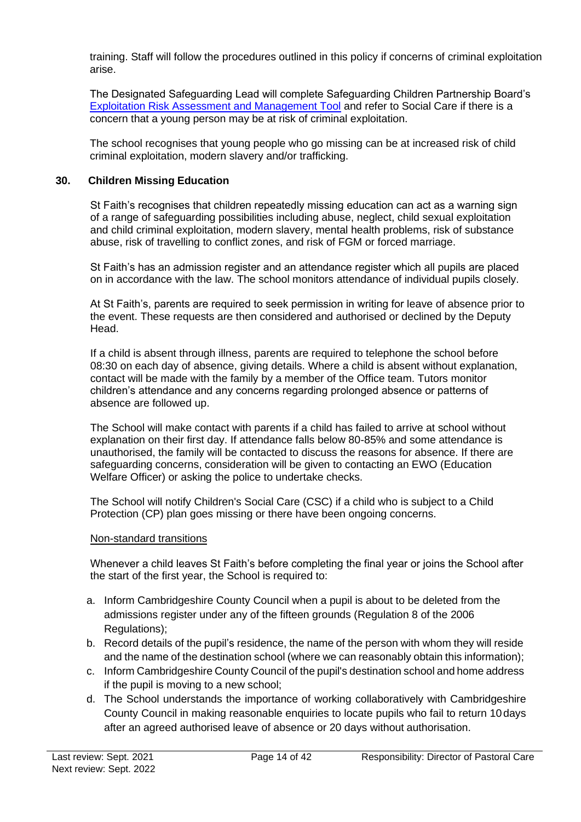training. Staff will follow the procedures outlined in this policy if concerns of criminal exploitation arise.

 The Designated Safeguarding Lead will complete Safeguarding Children Partnership Board's [Exploitation Risk Assessment and Management Tool](http://www.safeguardingcambspeterborough.org.uk/wp-content/uploads/2018/05/Exploitation-CSECCE-Risk-Assessment-Tool.docx) and refer to Social Care if there is a concern that a young person may be at risk of criminal exploitation.

 The school recognises that young people who go missing can be at increased risk of child criminal exploitation, modern slavery and/or trafficking.

#### **30. Children Missing Education**

St Faith's recognises that children repeatedly missing education can act as a warning sign of a range of safeguarding possibilities including abuse, neglect, child sexual exploitation and child criminal exploitation, modern slavery, mental health problems, risk of substance abuse, risk of travelling to conflict zones, and risk of FGM or forced marriage.

St Faith's has an admission register and an attendance register which all pupils are placed on in accordance with the law. The school monitors attendance of individual pupils closely.

At St Faith's, parents are required to seek permission in writing for leave of absence prior to the event. These requests are then considered and authorised or declined by the Deputy Head.

If a child is absent through illness, parents are required to telephone the school before 08:30 on each day of absence, giving details. Where a child is absent without explanation, contact will be made with the family by a member of the Office team. Tutors monitor children's attendance and any concerns regarding prolonged absence or patterns of absence are followed up.

The School will make contact with parents if a child has failed to arrive at school without explanation on their first day. If attendance falls below 80-85% and some attendance is unauthorised, the family will be contacted to discuss the reasons for absence. If there are safeguarding concerns, consideration will be given to contacting an EWO (Education Welfare Officer) or asking the police to undertake checks.

The School will notify Children's Social Care (CSC) if a child who is subject to a Child Protection (CP) plan goes missing or there have been ongoing concerns.

#### Non-standard transitions

Whenever a child leaves St Faith's before completing the final year or joins the School after the start of the first year, the School is required to:

- a. Inform Cambridgeshire County Council when a pupil is about to be deleted from the admissions register under any of the fifteen grounds (Regulation 8 of the 2006 Regulations);
- b. Record details of the pupil's residence, the name of the person with whom they will reside and the name of the destination school (where we can reasonably obtain this information);
- c. Inform Cambridgeshire County Council of the pupil's destination school and home address if the pupil is moving to a new school;
- d. The School understands the importance of working collaboratively with Cambridgeshire County Council in making reasonable enquiries to locate pupils who fail to return 10days after an agreed authorised leave of absence or 20 days without authorisation.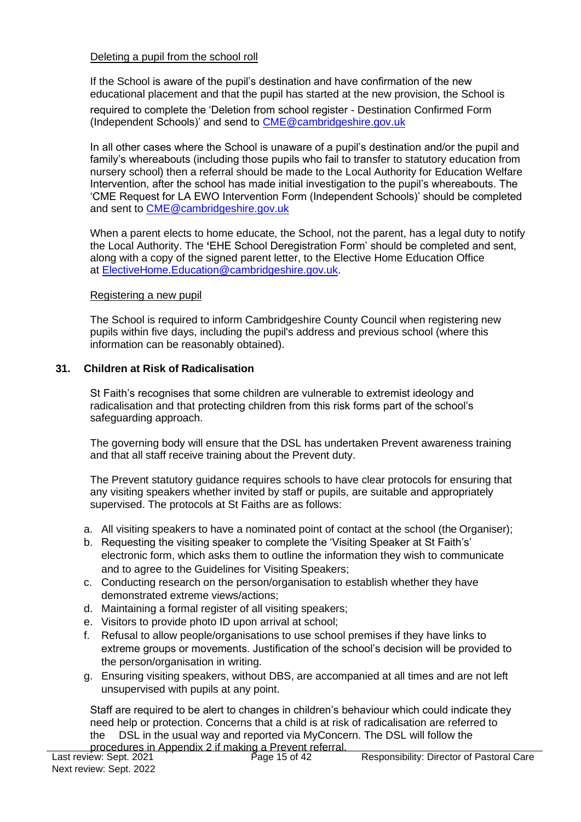#### Deleting a pupil from the school roll

If the School is aware of the pupil's destination and have confirmation of the new educational placement and that the pupil has started at the new provision, the School is

required to complete the 'Deletion from school register - Destination Confirmed Form (Independent Schools)' and send to [CME@cambridgeshire.gov.uk](mailto:CME@cambridgeshire.gov.uk)

In all other cases where the School is unaware of a pupil's destination and/or the pupil and family's whereabouts (including those pupils who fail to transfer to statutory education from nursery school) then a referral should be made to the Local Authority for Education Welfare Intervention, after the school has made initial investigation to the pupil's whereabouts. The 'CME Request for LA EWO Intervention Form (Independent Schools)' should be completed and sent to [CME@cambridgeshire.gov.uk](mailto:CME@cambridgeshire.gov.uk)

When a parent elects to home educate, the School, not the parent, has a legal duty to notify the Local Authority. The **'**EHE School Deregistration Form' should be completed and sent, along with a copy of the signed parent letter, to the Elective Home Education Office at [ElectiveHome.Education@cambridgeshire.gov.uk.](mailto:ElectiveHome.Education@cambridgeshire.gov.uk)

#### Registering a new pupil

The School is required to inform Cambridgeshire County Council when registering new pupils within five days, including the pupil's address and previous school (where this information can be reasonably obtained).

### **31. Children at Risk of Radicalisation**

St Faith's recognises that some children are vulnerable to extremist ideology and radicalisation and that protecting children from this risk forms part of the school's safeguarding approach.

The governing body will ensure that the DSL has undertaken Prevent awareness training and that all staff receive training about the Prevent duty.

The Prevent statutory guidance requires schools to have clear protocols for ensuring that any visiting speakers whether invited by staff or pupils, are suitable and appropriately supervised. The protocols at St Faiths are as follows:

- a. All visiting speakers to have a nominated point of contact at the school (the Organiser);
- b. Requesting the visiting speaker to complete the 'Visiting Speaker at St Faith's' electronic form, which asks them to outline the information they wish to communicate and to agree to the Guidelines for Visiting Speakers;
- c. Conducting research on the person/organisation to establish whether they have demonstrated extreme views/actions;
- d. Maintaining a formal register of all visiting speakers;
- e. Visitors to provide photo ID upon arrival at school;
- f. Refusal to allow people/organisations to use school premises if they have links to extreme groups or movements. Justification of the school's decision will be provided to the person/organisation in writing.
- g. Ensuring visiting speakers, without DBS, are accompanied at all times and are not left unsupervised with pupils at any point.

Staff are required to be alert to changes in children's behaviour which could indicate they need help or protection. Concerns that a child is at risk of radicalisation are referred to the DSL in the usual way and reported via MyConcern. The DSL will follow the procedures in Appendix 2 if making a Prevent referral.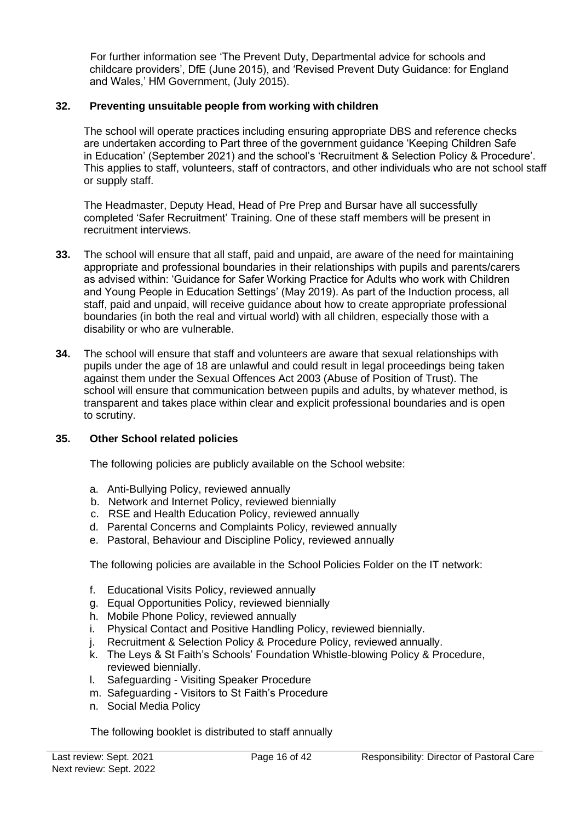For further information see 'The Prevent Duty, Departmental advice for schools and childcare providers', DfE (June 2015), and 'Revised Prevent Duty Guidance: for England and Wales,' HM Government, (July 2015).

### **32. Preventing unsuitable people from working with children**

The school will operate practices including ensuring appropriate DBS and reference checks are undertaken according to Part three of the government guidance 'Keeping Children Safe in Education' (September 2021) and the school's 'Recruitment & Selection Policy & Procedure'. This applies to staff, volunteers, staff of contractors, and other individuals who are not school staff or supply staff.

The Headmaster, Deputy Head, Head of Pre Prep and Bursar have all successfully completed 'Safer Recruitment' Training. One of these staff members will be present in recruitment interviews.

- **33.** The school will ensure that all staff, paid and unpaid, are aware of the need for maintaining appropriate and professional boundaries in their relationships with pupils and parents/carers as advised within: 'Guidance for Safer Working Practice for Adults who work with Children and Young People in Education Settings' (May 2019). As part of the Induction process, all staff, paid and unpaid, will receive guidance about how to create appropriate professional boundaries (in both the real and virtual world) with all children, especially those with a disability or who are vulnerable.
- **34.** The school will ensure that staff and volunteers are aware that sexual relationships with pupils under the age of 18 are unlawful and could result in legal proceedings being taken against them under the Sexual Offences Act 2003 (Abuse of Position of Trust). The school will ensure that communication between pupils and adults, by whatever method, is transparent and takes place within clear and explicit professional boundaries and is open to scrutiny.

### **35. Other School related policies**

The following policies are publicly available on the School website:

- a. Anti-Bullying Policy, reviewed annually
- b. Network and Internet Policy, reviewed biennially
- c. RSE and Health Education Policy, reviewed annually
- d. Parental Concerns and Complaints Policy, reviewed annually
- e. Pastoral, Behaviour and Discipline Policy, reviewed annually

The following policies are available in the School Policies Folder on the IT network:

- f. Educational Visits Policy, reviewed annually
- g. Equal Opportunities Policy, reviewed biennially
- h. Mobile Phone Policy, reviewed annually
- i. Physical Contact and Positive Handling Policy, reviewed biennially.
- j. Recruitment & Selection Policy & Procedure Policy, reviewed annually.
- k. The Leys & St Faith's Schools' Foundation Whistle-blowing Policy & Procedure, reviewed biennially.
- l. Safeguarding Visiting Speaker Procedure
- m. Safeguarding Visitors to St Faith's Procedure
- n. Social Media Policy

The following booklet is distributed to staff annually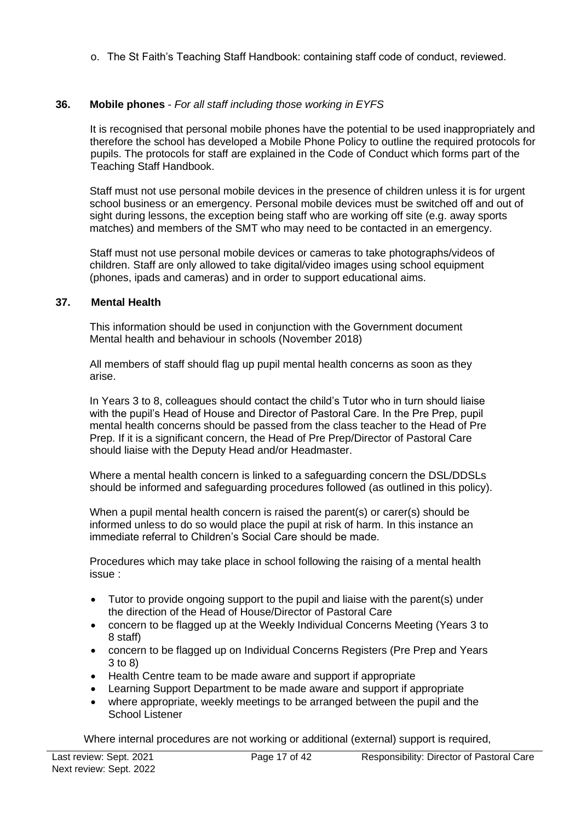o. The St Faith's Teaching Staff Handbook: containing staff code of conduct, reviewed.

### **36. Mobile phones** - *For all staff including those working in EYFS*

It is recognised that personal mobile phones have the potential to be used inappropriately and therefore the school has developed a Mobile Phone Policy to outline the required protocols for pupils. The protocols for staff are explained in the Code of Conduct which forms part of the Teaching Staff Handbook.

Staff must not use personal mobile devices in the presence of children unless it is for urgent school business or an emergency. Personal mobile devices must be switched off and out of sight during lessons, the exception being staff who are working off site (e.g. away sports matches) and members of the SMT who may need to be contacted in an emergency.

Staff must not use personal mobile devices or cameras to take photographs/videos of children. Staff are only allowed to take digital/video images using school equipment (phones, ipads and cameras) and in order to support educational aims.

#### **37. Mental Health**

This information should be used in conjunction with the Government document Mental health and behaviour in schools (November 2018)

All members of staff should flag up pupil mental health concerns as soon as they arise.

In Years 3 to 8, colleagues should contact the child's Tutor who in turn should liaise with the pupil's Head of House and Director of Pastoral Care. In the Pre Prep, pupil mental health concerns should be passed from the class teacher to the Head of Pre Prep. If it is a significant concern, the Head of Pre Prep/Director of Pastoral Care should liaise with the Deputy Head and/or Headmaster.

Where a mental health concern is linked to a safeguarding concern the DSL/DDSLs should be informed and safeguarding procedures followed (as outlined in this policy).

When a pupil mental health concern is raised the parent(s) or carer(s) should be informed unless to do so would place the pupil at risk of harm. In this instance an immediate referral to Children's Social Care should be made.

Procedures which may take place in school following the raising of a mental health issue :

- Tutor to provide ongoing support to the pupil and liaise with the parent(s) under the direction of the Head of House/Director of Pastoral Care
- concern to be flagged up at the Weekly Individual Concerns Meeting (Years 3 to 8 staff)
- concern to be flagged up on Individual Concerns Registers (Pre Prep and Years 3 to 8)
- Health Centre team to be made aware and support if appropriate
- Learning Support Department to be made aware and support if appropriate
- where appropriate, weekly meetings to be arranged between the pupil and the School Listener

Where internal procedures are not working or additional (external) support is required,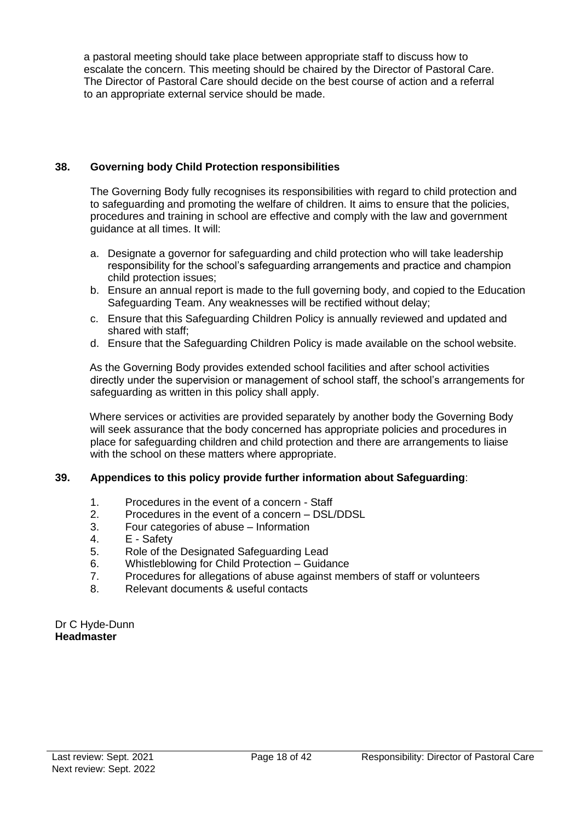a pastoral meeting should take place between appropriate staff to discuss how to escalate the concern. This meeting should be chaired by the Director of Pastoral Care. The Director of Pastoral Care should decide on the best course of action and a referral to an appropriate external service should be made.

### **38. Governing body Child Protection responsibilities**

The Governing Body fully recognises its responsibilities with regard to child protection and to safeguarding and promoting the welfare of children. It aims to ensure that the policies, procedures and training in school are effective and comply with the law and government guidance at all times. It will:

- a. Designate a governor for safeguarding and child protection who will take leadership responsibility for the school's safeguarding arrangements and practice and champion child protection issues;
- b. Ensure an annual report is made to the full governing body, and copied to the Education Safeguarding Team. Any weaknesses will be rectified without delay;
- c. Ensure that this Safeguarding Children Policy is annually reviewed and updated and shared with staff;
- d. Ensure that the Safeguarding Children Policy is made available on the school website.

As the Governing Body provides extended school facilities and after school activities directly under the supervision or management of school staff, the school's arrangements for safeguarding as written in this policy shall apply.

Where services or activities are provided separately by another body the Governing Body will seek assurance that the body concerned has appropriate policies and procedures in place for safeguarding children and child protection and there are arrangements to liaise with the school on these matters where appropriate.

### **39. Appendices to this policy provide further information about Safeguarding**:

- 1. Procedures in the event of a concern Staff
- 2. Procedures in the event of a concern DSL/DDSL
- 3. Four categories of abuse Information
- 4. E Safety
- 5. Role of the Designated Safeguarding Lead
- 6. Whistleblowing for Child Protection Guidance
- 7. Procedures for allegations of abuse against members of staff or volunteers
- 8. Relevant documents & useful contacts

Dr C Hyde-Dunn **Headmaster**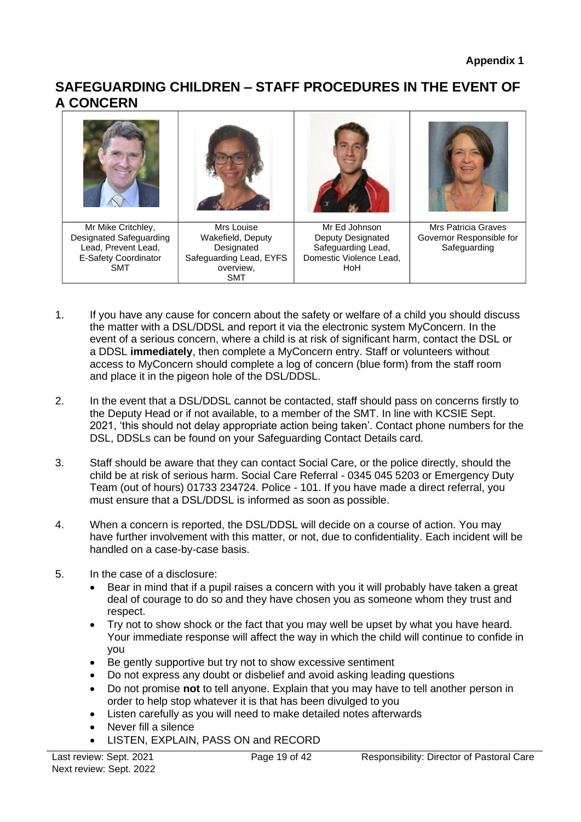# **SAFEGUARDING CHILDREN – STAFF PROCEDURES IN THE EVENT OF A CONCERN**



Domestic Violence Lead, HoH

1. If you have any cause for concern about the safety or welfare of a child you should discuss the matter with a DSL/DDSL and report it via the electronic system MyConcern. In the event of a serious concern, where a child is at risk of significant harm, contact the DSL or a DDSL **immediately**, then complete a MyConcern entry. Staff or volunteers without access to MyConcern should complete a log of concern (blue form) from the staff room and place it in the pigeon hole of the DSL/DDSL.

Safeguarding Lead, EYFS overview, SMT

- 2. In the event that a DSL/DDSL cannot be contacted, staff should pass on concerns firstly to the Deputy Head or if not available, to a member of the SMT. In line with KCSIE Sept. 2021, 'this should not delay appropriate action being taken'. Contact phone numbers for the DSL, DDSLs can be found on your Safeguarding Contact Details card.
- 3. Staff should be aware that they can contact Social Care, or the police directly, should the child be at risk of serious harm. Social Care Referral - 0345 045 5203 or Emergency Duty Team (out of hours) 01733 234724. Police - 101. If you have made a direct referral, you must ensure that a DSL/DDSL is informed as soon as possible.
- 4. When a concern is reported, the DSL/DDSL will decide on a course of action. You may have further involvement with this matter, or not, due to confidentiality. Each incident will be handled on a case-by-case basis.
- 5. In the case of a disclosure:

E-Safety Coordinator SMT

- Bear in mind that if a pupil raises a concern with you it will probably have taken a great deal of courage to do so and they have chosen you as someone whom they trust and respect.
- Try not to show shock or the fact that you may well be upset by what you have heard. Your immediate response will affect the way in which the child will continue to confide in you
- Be gently supportive but try not to show excessive sentiment
- Do not express any doubt or disbelief and avoid asking leading questions
- Do not promise **not** to tell anyone. Explain that you may have to tell another person in order to help stop whatever it is that has been divulged to you
- Listen carefully as you will need to make detailed notes afterwards
- Never fill a silence
- LISTEN, EXPLAIN, PASS ON and RECORD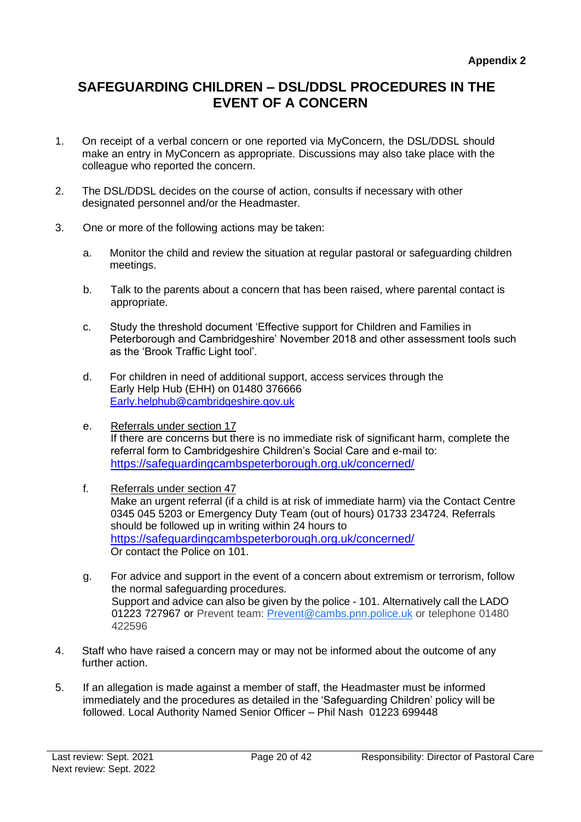# **SAFEGUARDING CHILDREN – DSL/DDSL PROCEDURES IN THE EVENT OF A CONCERN**

- 1. On receipt of a verbal concern or one reported via MyConcern, the DSL/DDSL should make an entry in MyConcern as appropriate. Discussions may also take place with the colleague who reported the concern.
- 2. The DSL/DDSL decides on the course of action, consults if necessary with other designated personnel and/or the Headmaster.
- 3. One or more of the following actions may be taken:
	- a. Monitor the child and review the situation at regular pastoral or safeguarding children meetings.
	- b. Talk to the parents about a concern that has been raised, where parental contact is appropriate.
	- c. Study the threshold document 'Effective support for Children and Families in Peterborough and Cambridgeshire' November 2018 and other assessment tools such as the 'Brook Traffic Light tool'.
	- d. For children in need of additional support, access services through the Early Help Hub (EHH) on 01480 376666 [Early.helphub@cambridgeshire.gov.uk](mailto:Early.helphub@cambridgeshire.gov.uk)
	- e. Referrals under section 17 If there are concerns but there is no immediate risk of significant harm, complete the referral form to Cambridgeshire Children's Social Care and e-mail to: <https://safeguardingcambspeterborough.org.uk/concerned/>
	- f. Referrals under section 47 Make an urgent referral (if a child is at risk of immediate harm) via the Contact Centre 0345 045 5203 or Emergency Duty Team (out of hours) 01733 234724. Referrals should be followed up in writing within 24 hours to <https://safeguardingcambspeterborough.org.uk/concerned/> Or contact the Police on 101.
	- g. For advice and support in the event of a concern about extremism or terrorism, follow the normal safeguarding procedures. Support and advice can also be given by the police - 101. Alternatively call the LADO 01223 727967 or Prevent team: [Prevent@cambs.pnn.police.uk](mailto:Prevent@cambs.pnn.police.uk) or telephone 01480 422596
- 4. Staff who have raised a concern may or may not be informed about the outcome of any further action.
- 5. If an allegation is made against a member of staff, the Headmaster must be informed immediately and the procedures as detailed in the 'Safeguarding Children' policy will be followed. Local Authority Named Senior Officer – Phil Nash 01223 699448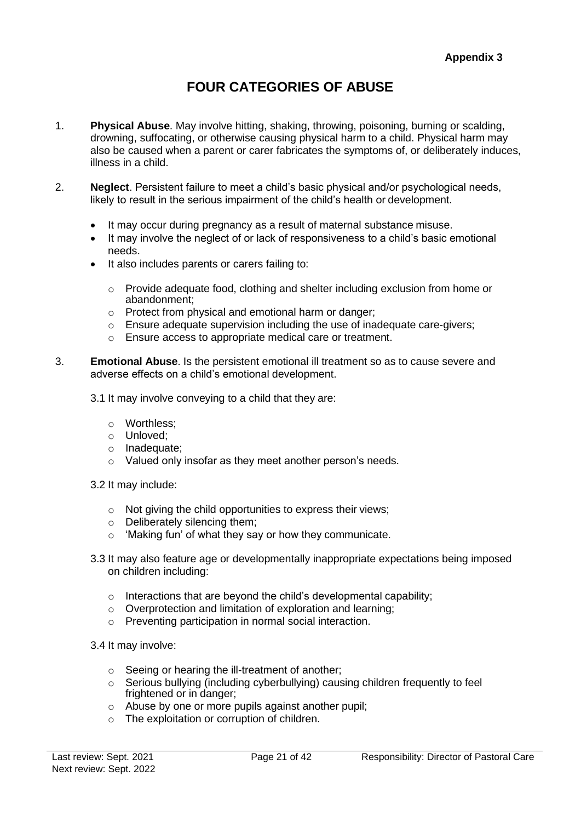# **FOUR CATEGORIES OF ABUSE**

- 1. **Physical Abuse**. May involve hitting, shaking, throwing, poisoning, burning or scalding, drowning, suffocating, or otherwise causing physical harm to a child. Physical harm may also be caused when a parent or carer fabricates the symptoms of, or deliberately induces, illness in a child.
- 2. **Neglect**. Persistent failure to meet a child's basic physical and/or psychological needs, likely to result in the serious impairment of the child's health or development.
	- It may occur during pregnancy as a result of maternal substance misuse.
	- It may involve the neglect of or lack of responsiveness to a child's basic emotional needs.
	- It also includes parents or carers failing to:
		- o Provide adequate food, clothing and shelter including exclusion from home or abandonment;
		- o Protect from physical and emotional harm or danger;
		- o Ensure adequate supervision including the use of inadequate care-givers;
		- o Ensure access to appropriate medical care or treatment.
- 3. **Emotional Abuse**. Is the persistent emotional ill treatment so as to cause severe and adverse effects on a child's emotional development.
	- 3.1 It may involve conveying to a child that they are:
		- o Worthless;
		- o Unloved;
		- o Inadequate;
		- o Valued only insofar as they meet another person's needs.
	- 3.2 It may include:
		- $\circ$  Not giving the child opportunities to express their views;
		- o Deliberately silencing them;
		- o 'Making fun' of what they say or how they communicate.
	- 3.3 It may also feature age or developmentally inappropriate expectations being imposed on children including:
		- $\circ$  Interactions that are beyond the child's developmental capability;
		- o Overprotection and limitation of exploration and learning;
		- o Preventing participation in normal social interaction.
	- 3.4 It may involve:
		- o Seeing or hearing the ill-treatment of another;
		- $\circ$  Serious bullying (including cyberbullying) causing children frequently to feel frightened or in danger;
		- o Abuse by one or more pupils against another pupil;
		- o The exploitation or corruption of children.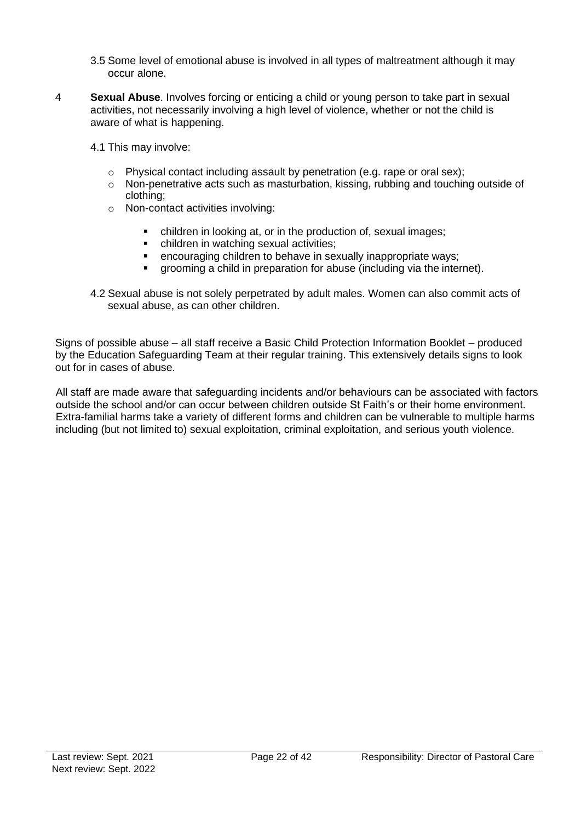- 3.5 Some level of emotional abuse is involved in all types of maltreatment although it may occur alone.
- 4 **Sexual Abuse**. Involves forcing or enticing a child or young person to take part in sexual activities, not necessarily involving a high level of violence, whether or not the child is aware of what is happening.
	- 4.1 This may involve:
		- $\circ$  Physical contact including assault by penetration (e.g. rape or oral sex);
		- o Non-penetrative acts such as masturbation, kissing, rubbing and touching outside of clothing;
		- o Non-contact activities involving:
			- children in looking at, or in the production of, sexual images;<br>■ children in watching sexual activities:
			- children in watching sexual activities;
			- encouraging children to behave in sexually inappropriate ways;
			- grooming a child in preparation for abuse (including via the internet).
	- 4.2 Sexual abuse is not solely perpetrated by adult males. Women can also commit acts of sexual abuse, as can other children.

Signs of possible abuse – all staff receive a Basic Child Protection Information Booklet – produced by the Education Safeguarding Team at their regular training. This extensively details signs to look out for in cases of abuse.

All staff are made aware that safeguarding incidents and/or behaviours can be associated with factors outside the school and/or can occur between children outside St Faith's or their home environment. Extra-familial harms take a variety of different forms and children can be vulnerable to multiple harms including (but not limited to) sexual exploitation, criminal exploitation, and serious youth violence.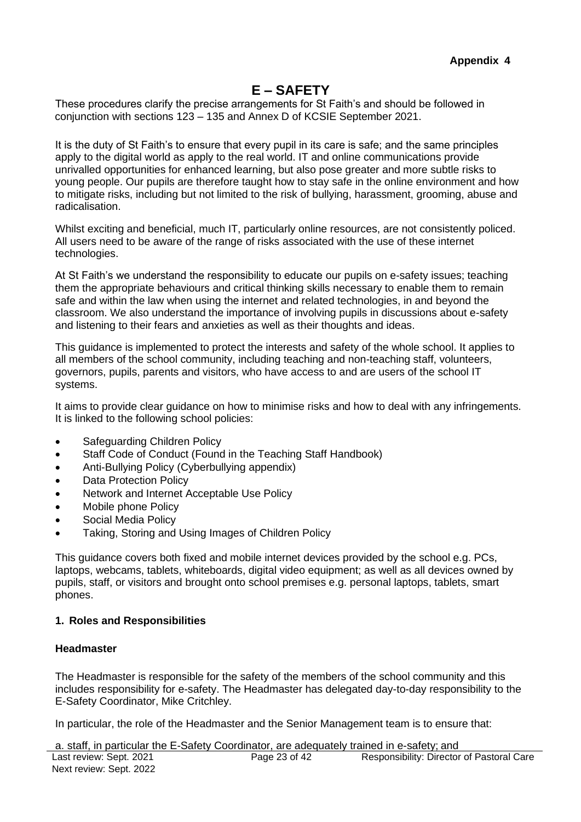## **E – SAFETY**

These procedures clarify the precise arrangements for St Faith's and should be followed in conjunction with sections 123 – 135 and Annex D of KCSIE September 2021.

It is the duty of St Faith's to ensure that every pupil in its care is safe; and the same principles apply to the digital world as apply to the real world. IT and online communications provide unrivalled opportunities for enhanced learning, but also pose greater and more subtle risks to young people. Our pupils are therefore taught how to stay safe in the online environment and how to mitigate risks, including but not limited to the risk of bullying, harassment, grooming, abuse and radicalisation.

Whilst exciting and beneficial, much IT, particularly online resources, are not consistently policed. All users need to be aware of the range of risks associated with the use of these internet technologies.

At St Faith's we understand the responsibility to educate our pupils on e-safety issues; teaching them the appropriate behaviours and critical thinking skills necessary to enable them to remain safe and within the law when using the internet and related technologies, in and beyond the classroom. We also understand the importance of involving pupils in discussions about e-safety and listening to their fears and anxieties as well as their thoughts and ideas.

This guidance is implemented to protect the interests and safety of the whole school. It applies to all members of the school community, including teaching and non-teaching staff, volunteers, governors, pupils, parents and visitors, who have access to and are users of the school IT systems.

It aims to provide clear guidance on how to minimise risks and how to deal with any infringements. It is linked to the following school policies:

- Safeguarding Children Policy
- Staff Code of Conduct (Found in the Teaching Staff Handbook)
- Anti-Bullying Policy (Cyberbullying appendix)
- Data Protection Policy
- Network and Internet Acceptable Use Policy
- Mobile phone Policy
- Social Media Policy
- Taking, Storing and Using Images of Children Policy

This guidance covers both fixed and mobile internet devices provided by the school e.g. PCs, laptops, webcams, tablets, whiteboards, digital video equipment; as well as all devices owned by pupils, staff, or visitors and brought onto school premises e.g. personal laptops, tablets, smart phones.

#### **1. Roles and Responsibilities**

#### **Headmaster**

The Headmaster is responsible for the safety of the members of the school community and this includes responsibility for e-safety. The Headmaster has delegated day-to-day responsibility to the E-Safety Coordinator, Mike Critchley.

In particular, the role of the Headmaster and the Senior Management team is to ensure that:

Last review: Sept. 2021 Next review: Sept. 2022 Page 23 of 42 Responsibility: Director of Pastoral Care a. staff, in particular the E-Safety Coordinator, are adequately trained in e-safety; and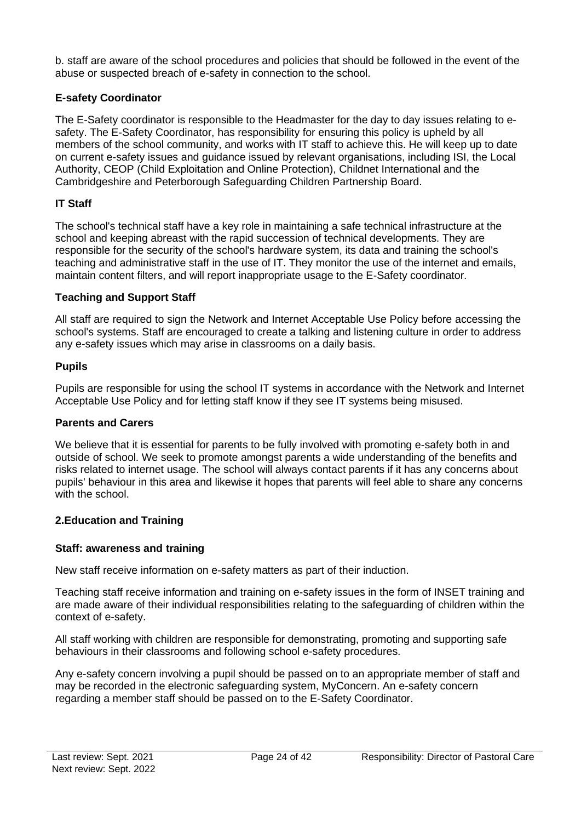b. staff are aware of the school procedures and policies that should be followed in the event of the abuse or suspected breach of e-safety in connection to the school.

### **E-safety Coordinator**

The E-Safety coordinator is responsible to the Headmaster for the day to day issues relating to esafety. The E-Safety Coordinator, has responsibility for ensuring this policy is upheld by all members of the school community, and works with IT staff to achieve this. He will keep up to date on current e-safety issues and guidance issued by relevant organisations, including ISI, the Local Authority, CEOP (Child Exploitation and Online Protection), Childnet International and the Cambridgeshire and Peterborough Safeguarding Children Partnership Board.

### **IT Staff**

The school's technical staff have a key role in maintaining a safe technical infrastructure at the school and keeping abreast with the rapid succession of technical developments. They are responsible for the security of the school's hardware system, its data and training the school's teaching and administrative staff in the use of IT. They monitor the use of the internet and emails, maintain content filters, and will report inappropriate usage to the E-Safety coordinator.

### **Teaching and Support Staff**

All staff are required to sign the Network and Internet Acceptable Use Policy before accessing the school's systems. Staff are encouraged to create a talking and listening culture in order to address any e-safety issues which may arise in classrooms on a daily basis.

### **Pupils**

Pupils are responsible for using the school IT systems in accordance with the Network and Internet Acceptable Use Policy and for letting staff know if they see IT systems being misused.

### **Parents and Carers**

We believe that it is essential for parents to be fully involved with promoting e-safety both in and outside of school. We seek to promote amongst parents a wide understanding of the benefits and risks related to internet usage. The school will always contact parents if it has any concerns about pupils' behaviour in this area and likewise it hopes that parents will feel able to share any concerns with the school.

### **2.Education and Training**

### **Staff: awareness and training**

New staff receive information on e-safety matters as part of their induction.

Teaching staff receive information and training on e-safety issues in the form of INSET training and are made aware of their individual responsibilities relating to the safeguarding of children within the context of e-safety.

All staff working with children are responsible for demonstrating, promoting and supporting safe behaviours in their classrooms and following school e-safety procedures.

Any e-safety concern involving a pupil should be passed on to an appropriate member of staff and may be recorded in the electronic safeguarding system, MyConcern. An e-safety concern regarding a member staff should be passed on to the E-Safety Coordinator.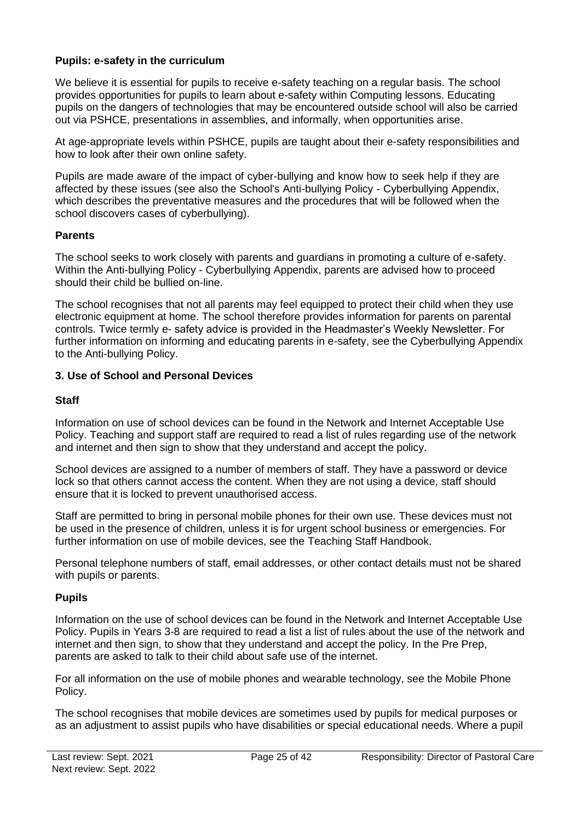### **Pupils: e-safety in the curriculum**

We believe it is essential for pupils to receive e-safety teaching on a regular basis. The school provides opportunities for pupils to learn about e-safety within Computing lessons. Educating pupils on the dangers of technologies that may be encountered outside school will also be carried out via PSHCE, presentations in assemblies, and informally, when opportunities arise.

At age-appropriate levels within PSHCE, pupils are taught about their e-safety responsibilities and how to look after their own online safety.

Pupils are made aware of the impact of cyber-bullying and know how to seek help if they are affected by these issues (see also the School's Anti-bullying Policy - Cyberbullying Appendix, which describes the preventative measures and the procedures that will be followed when the school discovers cases of cyberbullying).

#### **Parents**

The school seeks to work closely with parents and guardians in promoting a culture of e-safety. Within the Anti-bullying Policy - Cyberbullying Appendix, parents are advised how to proceed should their child be bullied on-line.

The school recognises that not all parents may feel equipped to protect their child when they use electronic equipment at home. The school therefore provides information for parents on parental controls. Twice termly e- safety advice is provided in the Headmaster's Weekly Newsletter. For further information on informing and educating parents in e-safety, see the Cyberbullying Appendix to the Anti-bullying Policy.

#### **3. Use of School and Personal Devices**

### **Staff**

Information on use of school devices can be found in the Network and Internet Acceptable Use Policy. Teaching and support staff are required to read a list of rules regarding use of the network and internet and then sign to show that they understand and accept the policy.

School devices are assigned to a number of members of staff. They have a password or device lock so that others cannot access the content. When they are not using a device, staff should ensure that it is locked to prevent unauthorised access.

Staff are permitted to bring in personal mobile phones for their own use. These devices must not be used in the presence of children, unless it is for urgent school business or emergencies. For further information on use of mobile devices, see the Teaching Staff Handbook.

Personal telephone numbers of staff, email addresses, or other contact details must not be shared with pupils or parents.

### **Pupils**

Information on the use of school devices can be found in the Network and Internet Acceptable Use Policy. Pupils in Years 3-8 are required to read a list a list of rules about the use of the network and internet and then sign, to show that they understand and accept the policy. In the Pre Prep, parents are asked to talk to their child about safe use of the internet.

For all information on the use of mobile phones and wearable technology, see the Mobile Phone Policy.

The school recognises that mobile devices are sometimes used by pupils for medical purposes or as an adjustment to assist pupils who have disabilities or special educational needs. Where a pupil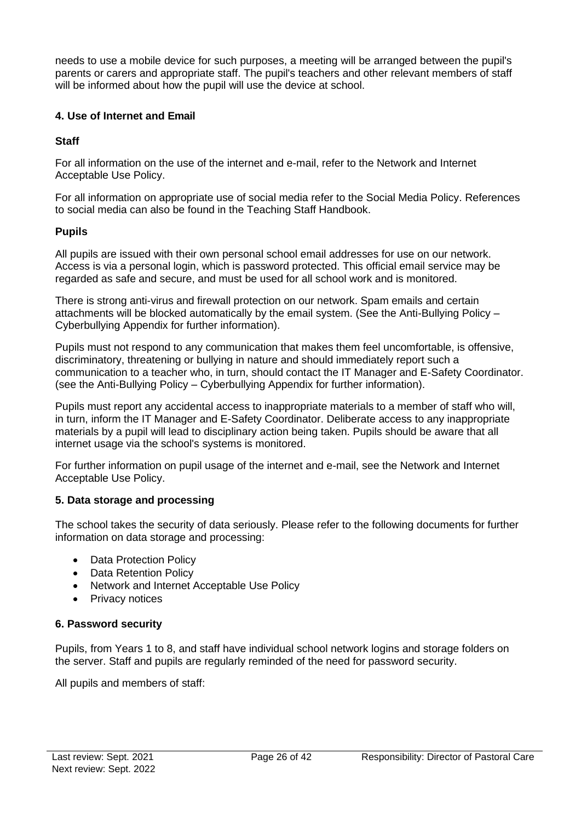needs to use a mobile device for such purposes, a meeting will be arranged between the pupil's parents or carers and appropriate staff. The pupil's teachers and other relevant members of staff will be informed about how the pupil will use the device at school.

### **4. Use of Internet and Email**

### **Staff**

For all information on the use of the internet and e-mail, refer to the Network and Internet Acceptable Use Policy.

For all information on appropriate use of social media refer to the Social Media Policy. References to social media can also be found in the Teaching Staff Handbook.

### **Pupils**

All pupils are issued with their own personal school email addresses for use on our network. Access is via a personal login, which is password protected. This official email service may be regarded as safe and secure, and must be used for all school work and is monitored.

There is strong anti-virus and firewall protection on our network. Spam emails and certain attachments will be blocked automatically by the email system. (See the Anti-Bullying Policy – Cyberbullying Appendix for further information).

Pupils must not respond to any communication that makes them feel uncomfortable, is offensive, discriminatory, threatening or bullying in nature and should immediately report such a communication to a teacher who, in turn, should contact the IT Manager and E-Safety Coordinator. (see the Anti-Bullying Policy – Cyberbullying Appendix for further information).

Pupils must report any accidental access to inappropriate materials to a member of staff who will, in turn, inform the IT Manager and E-Safety Coordinator. Deliberate access to any inappropriate materials by a pupil will lead to disciplinary action being taken. Pupils should be aware that all internet usage via the school's systems is monitored.

For further information on pupil usage of the internet and e-mail, see the Network and Internet Acceptable Use Policy.

### **5. Data storage and processing**

The school takes the security of data seriously. Please refer to the following documents for further information on data storage and processing:

- Data Protection Policy
- Data Retention Policy
- Network and Internet Acceptable Use Policy
- Privacy notices

### **6. Password security**

Pupils, from Years 1 to 8, and staff have individual school network logins and storage folders on the server. Staff and pupils are regularly reminded of the need for password security.

All pupils and members of staff: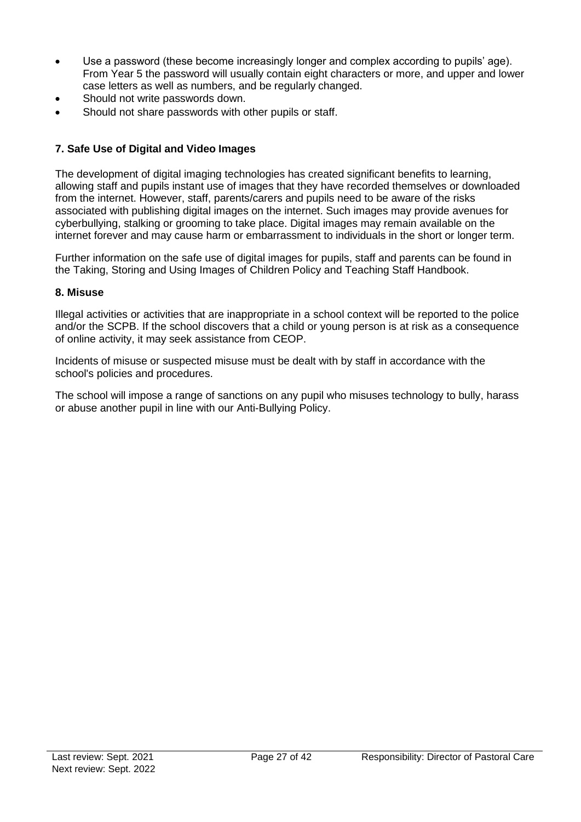- Use a password (these become increasingly longer and complex according to pupils' age). From Year 5 the password will usually contain eight characters or more, and upper and lower case letters as well as numbers, and be regularly changed.
- Should not write passwords down.
- Should not share passwords with other pupils or staff.

### **7. Safe Use of Digital and Video Images**

The development of digital imaging technologies has created significant benefits to learning, allowing staff and pupils instant use of images that they have recorded themselves or downloaded from the internet. However, staff, parents/carers and pupils need to be aware of the risks associated with publishing digital images on the internet. Such images may provide avenues for cyberbullying, stalking or grooming to take place. Digital images may remain available on the internet forever and may cause harm or embarrassment to individuals in the short or longer term.

Further information on the safe use of digital images for pupils, staff and parents can be found in the Taking, Storing and Using Images of Children Policy and Teaching Staff Handbook.

#### **8. Misuse**

Illegal activities or activities that are inappropriate in a school context will be reported to the police and/or the SCPB. If the school discovers that a child or young person is at risk as a consequence of online activity, it may seek assistance from CEOP.

Incidents of misuse or suspected misuse must be dealt with by staff in accordance with the school's policies and procedures.

The school will impose a range of sanctions on any pupil who misuses technology to bully, harass or abuse another pupil in line with our Anti-Bullying Policy.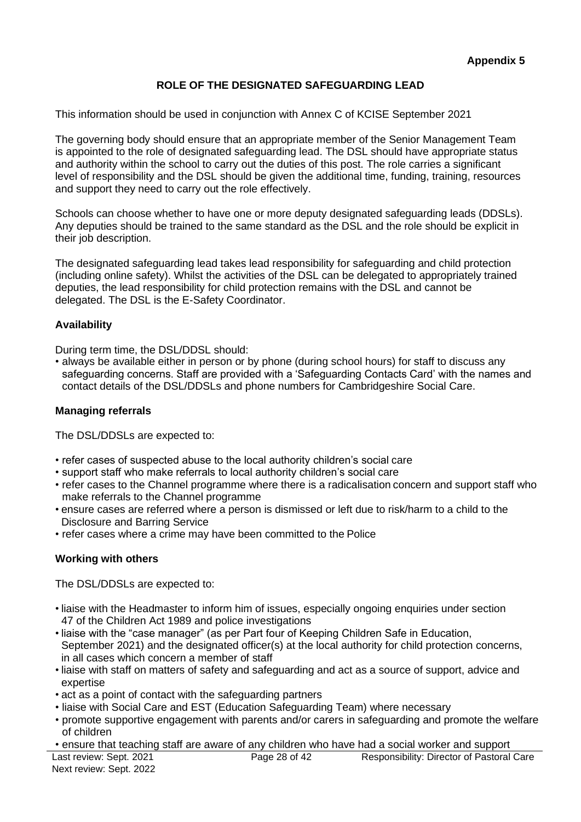### **ROLE OF THE DESIGNATED SAFEGUARDING LEAD**

This information should be used in conjunction with Annex C of KCISE September 2021

The governing body should ensure that an appropriate member of the Senior Management Team is appointed to the role of designated safeguarding lead. The DSL should have appropriate status and authority within the school to carry out the duties of this post. The role carries a significant level of responsibility and the DSL should be given the additional time, funding, training, resources and support they need to carry out the role effectively.

Schools can choose whether to have one or more deputy designated safeguarding leads (DDSLs). Any deputies should be trained to the same standard as the DSL and the role should be explicit in their job description.

The designated safeguarding lead takes lead responsibility for safeguarding and child protection (including online safety). Whilst the activities of the DSL can be delegated to appropriately trained deputies, the lead responsibility for child protection remains with the DSL and cannot be delegated. The DSL is the E-Safety Coordinator.

#### **Availability**

During term time, the DSL/DDSL should:

• always be available either in person or by phone (during school hours) for staff to discuss any safeguarding concerns. Staff are provided with a 'Safeguarding Contacts Card' with the names and contact details of the DSL/DDSLs and phone numbers for Cambridgeshire Social Care.

#### **Managing referrals**

The DSL/DDSLs are expected to:

- refer cases of suspected abuse to the local authority children's social care
- support staff who make referrals to local authority children's social care
- refer cases to the Channel programme where there is a radicalisation concern and support staff who make referrals to the Channel programme
- ensure cases are referred where a person is dismissed or left due to risk/harm to a child to the Disclosure and Barring Service
- refer cases where a crime may have been committed to the Police

#### **Working with others**

The DSL/DDSLs are expected to:

- liaise with the Headmaster to inform him of issues, especially ongoing enquiries under section 47 of the Children Act 1989 and police investigations
- liaise with the "case manager" (as per Part four of Keeping Children Safe in Education, September 2021) and the designated officer(s) at the local authority for child protection concerns, in all cases which concern a member of staff
- liaise with staff on matters of safety and safeguarding and act as a source of support, advice and expertise
- act as a point of contact with the safeguarding partners
- liaise with Social Care and EST (Education Safeguarding Team) where necessary
- promote supportive engagement with parents and/or carers in safeguarding and promote the welfare of children
- ensure that teaching staff are aware of any children who have had a social worker and support

Last review: Sept. 2021 Next review: Sept. 2022 Page 28 of 42 Responsibility: Director of Pastoral Care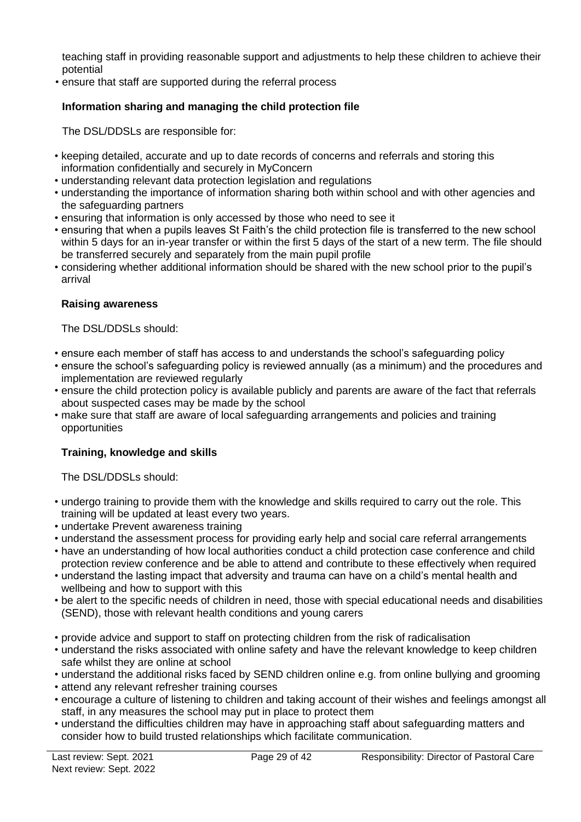teaching staff in providing reasonable support and adjustments to help these children to achieve their potential

• ensure that staff are supported during the referral process

### **Information sharing and managing the child protection file**

The DSL/DDSLs are responsible for:

- keeping detailed, accurate and up to date records of concerns and referrals and storing this information confidentially and securely in MyConcern
- understanding relevant data protection legislation and regulations
- understanding the importance of information sharing both within school and with other agencies and the safeguarding partners
- ensuring that information is only accessed by those who need to see it
- ensuring that when a pupils leaves St Faith's the child protection file is transferred to the new school within 5 days for an in-year transfer or within the first 5 days of the start of a new term. The file should be transferred securely and separately from the main pupil profile
- considering whether additional information should be shared with the new school prior to the pupil's arrival

### **Raising awareness**

The DSL/DDSLs should:

- ensure each member of staff has access to and understands the school's safeguarding policy
- ensure the school's safeguarding policy is reviewed annually (as a minimum) and the procedures and implementation are reviewed regularly
- ensure the child protection policy is available publicly and parents are aware of the fact that referrals about suspected cases may be made by the school
- make sure that staff are aware of local safeguarding arrangements and policies and training opportunities

### **Training, knowledge and skills**

The DSL/DDSLs should:

- undergo training to provide them with the knowledge and skills required to carry out the role. This training will be updated at least every two years.
- undertake Prevent awareness training
- understand the assessment process for providing early help and social care referral arrangements
- have an understanding of how local authorities conduct a child protection case conference and child protection review conference and be able to attend and contribute to these effectively when required
- understand the lasting impact that adversity and trauma can have on a child's mental health and wellbeing and how to support with this
- be alert to the specific needs of children in need, those with special educational needs and disabilities (SEND), those with relevant health conditions and young carers
- provide advice and support to staff on protecting children from the risk of radicalisation
- understand the risks associated with online safety and have the relevant knowledge to keep children safe whilst they are online at school
- understand the additional risks faced by SEND children online e.g. from online bullying and grooming
- attend any relevant refresher training courses
- encourage a culture of listening to children and taking account of their wishes and feelings amongst all staff, in any measures the school may put in place to protect them
- understand the difficulties children may have in approaching staff about safeguarding matters and consider how to build trusted relationships which facilitate communication.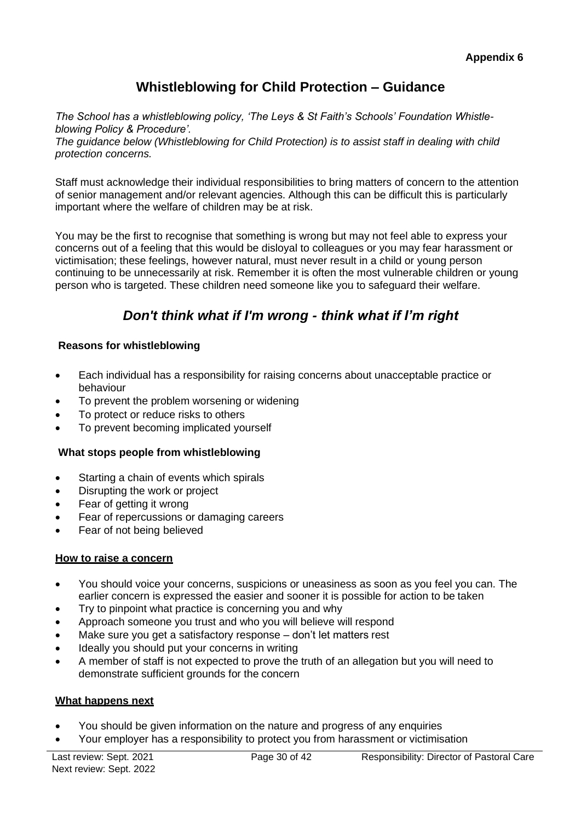# **Whistleblowing for Child Protection – Guidance**

*The School has a whistleblowing policy, 'The Leys & St Faith's Schools' Foundation Whistleblowing Policy & Procedure'.*

*The guidance below (Whistleblowing for Child Protection) is to assist staff in dealing with child protection concerns.*

Staff must acknowledge their individual responsibilities to bring matters of concern to the attention of senior management and/or relevant agencies. Although this can be difficult this is particularly important where the welfare of children may be at risk.

You may be the first to recognise that something is wrong but may not feel able to express your concerns out of a feeling that this would be disloyal to colleagues or you may fear harassment or victimisation; these feelings, however natural, must never result in a child or young person continuing to be unnecessarily at risk. Remember it is often the most vulnerable children or young person who is targeted. These children need someone like you to safeguard their welfare.

# *Don't think what if I'm wrong - think what if I'm right*

### **Reasons for whistleblowing**

- Each individual has a responsibility for raising concerns about unacceptable practice or behaviour
- To prevent the problem worsening or widening
- To protect or reduce risks to others
- To prevent becoming implicated yourself

### **What stops people from whistleblowing**

- Starting a chain of events which spirals
- Disrupting the work or project
- Fear of getting it wrong
- Fear of repercussions or damaging careers
- Fear of not being believed

### **How to raise a concern**

- You should voice your concerns, suspicions or uneasiness as soon as you feel you can. The earlier concern is expressed the easier and sooner it is possible for action to be taken
- Try to pinpoint what practice is concerning you and why
- Approach someone you trust and who you will believe will respond
- Make sure you get a satisfactory response don't let matters rest
- Ideally you should put your concerns in writing
- A member of staff is not expected to prove the truth of an allegation but you will need to demonstrate sufficient grounds for the concern

#### **What happens next**

- You should be given information on the nature and progress of any enquiries
- Your employer has a responsibility to protect you from harassment or victimisation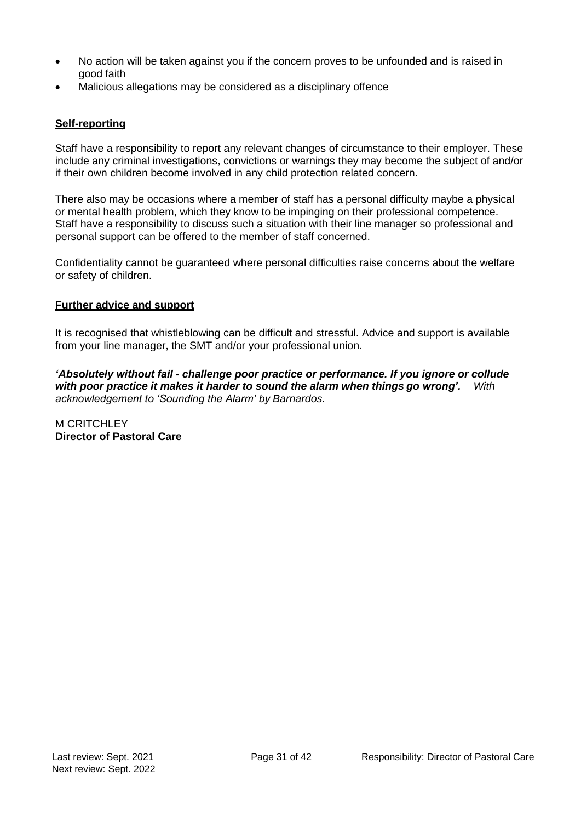- No action will be taken against you if the concern proves to be unfounded and is raised in good faith
- Malicious allegations may be considered as a disciplinary offence

### **Self-reporting**

Staff have a responsibility to report any relevant changes of circumstance to their employer. These include any criminal investigations, convictions or warnings they may become the subject of and/or if their own children become involved in any child protection related concern.

There also may be occasions where a member of staff has a personal difficulty maybe a physical or mental health problem, which they know to be impinging on their professional competence. Staff have a responsibility to discuss such a situation with their line manager so professional and personal support can be offered to the member of staff concerned.

Confidentiality cannot be guaranteed where personal difficulties raise concerns about the welfare or safety of children.

#### **Further advice and support**

It is recognised that whistleblowing can be difficult and stressful. Advice and support is available from your line manager, the SMT and/or your professional union.

*'Absolutely without fail - challenge poor practice or performance. If you ignore or collude with poor practice it makes it harder to sound the alarm when things go wrong'. With acknowledgement to 'Sounding the Alarm' by Barnardos.*

**M CRITCHI FY Director of Pastoral Care**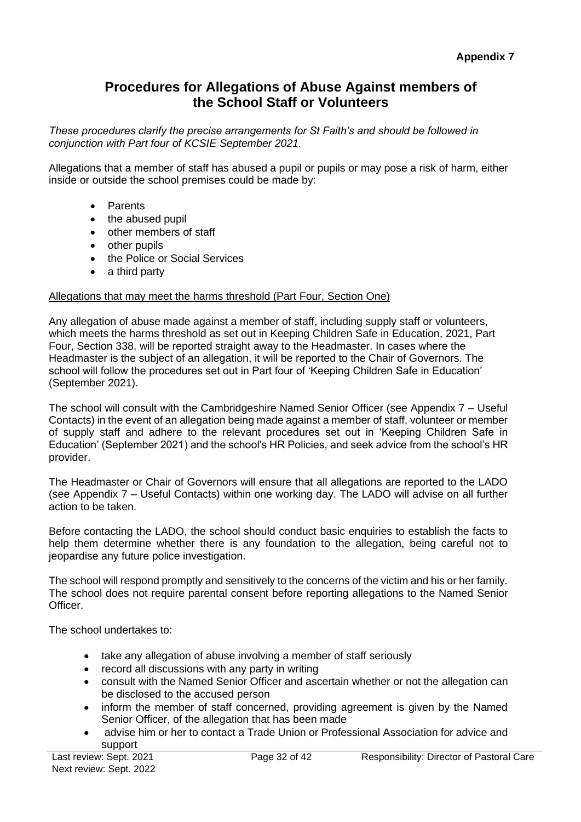# **Procedures for Allegations of Abuse Against members of the School Staff or Volunteers**

*These procedures clarify the precise arrangements for St Faith's and should be followed in conjunction with Part four of KCSIE September 2021.*

Allegations that a member of staff has abused a pupil or pupils or may pose a risk of harm, either inside or outside the school premises could be made by:

- Parents
- the abused pupil
- other members of staff
- other pupils
- the Police or Social Services
- a third party

### Allegations that may meet the harms threshold (Part Four, Section One)

Any allegation of abuse made against a member of staff, including supply staff or volunteers, which meets the harms threshold as set out in Keeping Children Safe in Education, 2021, Part Four, Section 338, will be reported straight away to the Headmaster. In cases where the Headmaster is the subject of an allegation, it will be reported to the Chair of Governors. The school will follow the procedures set out in Part four of 'Keeping Children Safe in Education' (September 2021).

The school will consult with the Cambridgeshire Named Senior Officer (see Appendix 7 – Useful Contacts) in the event of an allegation being made against a member of staff, volunteer or member of supply staff and adhere to the relevant procedures set out in 'Keeping Children Safe in Education' (September 2021) and the school's HR Policies, and seek advice from the school's HR provider.

The Headmaster or Chair of Governors will ensure that all allegations are reported to the LADO (see Appendix 7 – Useful Contacts) within one working day. The LADO will advise on all further action to be taken.

Before contacting the LADO, the school should conduct basic enquiries to establish the facts to help them determine whether there is any foundation to the allegation, being careful not to jeopardise any future police investigation.

The school will respond promptly and sensitively to the concerns of the victim and his or her family. The school does not require parental consent before reporting allegations to the Named Senior Officer.

The school undertakes to:

- take any allegation of abuse involving a member of staff seriously
- record all discussions with any party in writing
- consult with the Named Senior Officer and ascertain whether or not the allegation can be disclosed to the accused person
- inform the member of staff concerned, providing agreement is given by the Named Senior Officer, of the allegation that has been made
- advise him or her to contact a Trade Union or Professional Association for advice and support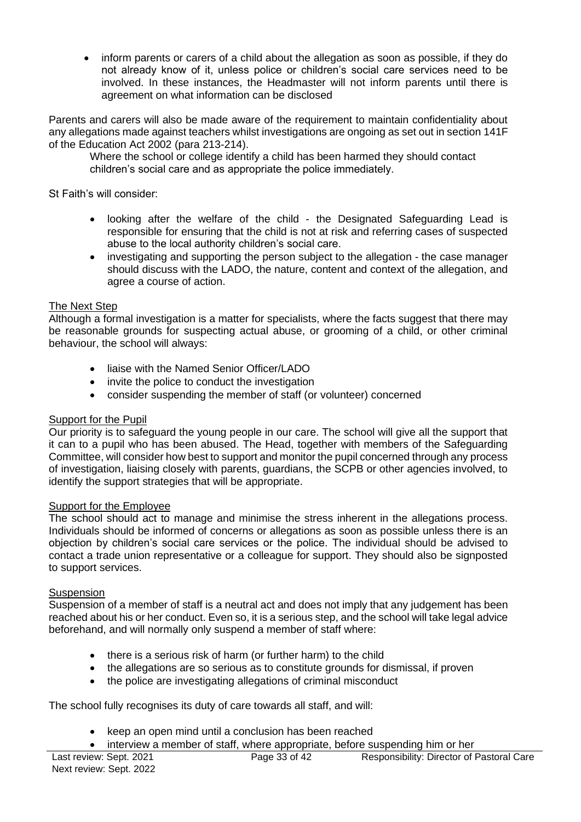• inform parents or carers of a child about the allegation as soon as possible, if they do not already know of it, unless police or children's social care services need to be involved. In these instances, the Headmaster will not inform parents until there is agreement on what information can be disclosed

Parents and carers will also be made aware of the requirement to maintain confidentiality about any allegations made against teachers whilst investigations are ongoing as set out in section 141F of the Education Act 2002 (para 213-214).

Where the school or college identify a child has been harmed they should contact children's social care and as appropriate the police immediately.

St Faith's will consider:

- looking after the welfare of the child the Designated Safeguarding Lead is responsible for ensuring that the child is not at risk and referring cases of suspected abuse to the local authority children's social care.
- investigating and supporting the person subject to the allegation the case manager should discuss with the LADO, the nature, content and context of the allegation, and agree a course of action.

#### The Next Step

Although a formal investigation is a matter for specialists, where the facts suggest that there may be reasonable grounds for suspecting actual abuse, or grooming of a child, or other criminal behaviour, the school will always:

- liaise with the Named Senior Officer/LADO
- invite the police to conduct the investigation
- consider suspending the member of staff (or volunteer) concerned

### Support for the Pupil

Our priority is to safeguard the young people in our care. The school will give all the support that it can to a pupil who has been abused. The Head, together with members of the Safeguarding Committee, will consider how best to support and monitor the pupil concerned through any process of investigation, liaising closely with parents, guardians, the SCPB or other agencies involved, to identify the support strategies that will be appropriate.

#### Support for the Employee

The school should act to manage and minimise the stress inherent in the allegations process. Individuals should be informed of concerns or allegations as soon as possible unless there is an objection by children's social care services or the police. The individual should be advised to contact a trade union representative or a colleague for support. They should also be signposted to support services.

#### **Suspension**

Suspension of a member of staff is a neutral act and does not imply that any judgement has been reached about his or her conduct. Even so, it is a serious step, and the school will take legal advice beforehand, and will normally only suspend a member of staff where:

- there is a serious risk of harm (or further harm) to the child
- the allegations are so serious as to constitute grounds for dismissal, if proven
- the police are investigating allegations of criminal misconduct

The school fully recognises its duty of care towards all staff, and will:

- keep an open mind until a conclusion has been reached
- interview a member of staff, where appropriate, before suspending him or her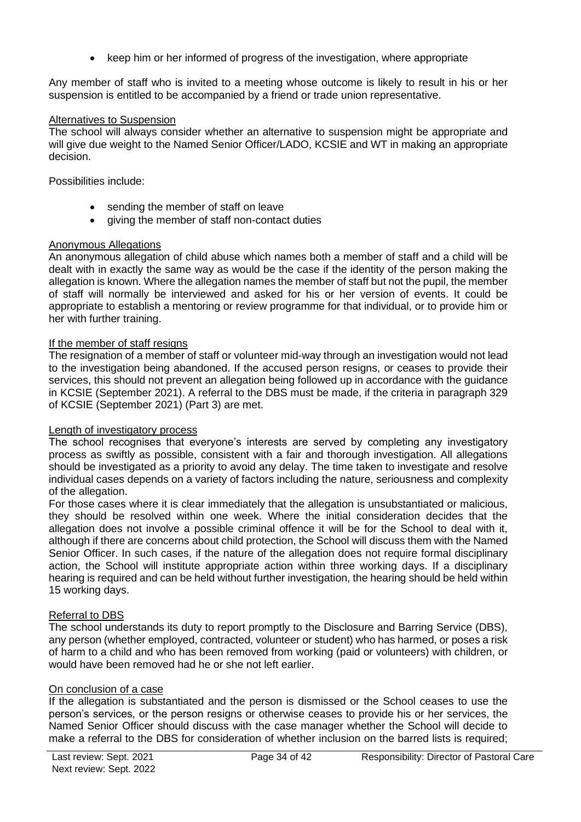• keep him or her informed of progress of the investigation, where appropriate

Any member of staff who is invited to a meeting whose outcome is likely to result in his or her suspension is entitled to be accompanied by a friend or trade union representative.

### Alternatives to Suspension

The school will always consider whether an alternative to suspension might be appropriate and will give due weight to the Named Senior Officer/LADO, KCSIE and WT in making an appropriate decision.

Possibilities include:

- sending the member of staff on leave
- giving the member of staff non-contact duties

### Anonymous Allegations

An anonymous allegation of child abuse which names both a member of staff and a child will be dealt with in exactly the same way as would be the case if the identity of the person making the allegation is known. Where the allegation names the member of staff but not the pupil, the member of staff will normally be interviewed and asked for his or her version of events. It could be appropriate to establish a mentoring or review programme for that individual, or to provide him or her with further training.

### If the member of staff resigns

The resignation of a member of staff or volunteer mid-way through an investigation would not lead to the investigation being abandoned. If the accused person resigns, or ceases to provide their services, this should not prevent an allegation being followed up in accordance with the guidance in KCSIE (September 2021). A referral to the DBS must be made, if the criteria in paragraph 329 of KCSIE (September 2021) (Part 3) are met.

### Length of investigatory process

The school recognises that everyone's interests are served by completing any investigatory process as swiftly as possible, consistent with a fair and thorough investigation. All allegations should be investigated as a priority to avoid any delay. The time taken to investigate and resolve individual cases depends on a variety of factors including the nature, seriousness and complexity of the allegation.

For those cases where it is clear immediately that the allegation is unsubstantiated or malicious, they should be resolved within one week. Where the initial consideration decides that the allegation does not involve a possible criminal offence it will be for the School to deal with it, although if there are concerns about child protection, the School will discuss them with the Named Senior Officer. In such cases, if the nature of the allegation does not require formal disciplinary action, the School will institute appropriate action within three working days. If a disciplinary hearing is required and can be held without further investigation, the hearing should be held within 15 working days.

### Referral to DBS

The school understands its duty to report promptly to the Disclosure and Barring Service (DBS), any person (whether employed, contracted, volunteer or student) who has harmed, or poses a risk of harm to a child and who has been removed from working (paid or volunteers) with children, or would have been removed had he or she not left earlier.

### On conclusion of a case

If the allegation is substantiated and the person is dismissed or the School ceases to use the person's services, or the person resigns or otherwise ceases to provide his or her services, the Named Senior Officer should discuss with the case manager whether the School will decide to make a referral to the DBS for consideration of whether inclusion on the barred lists is required;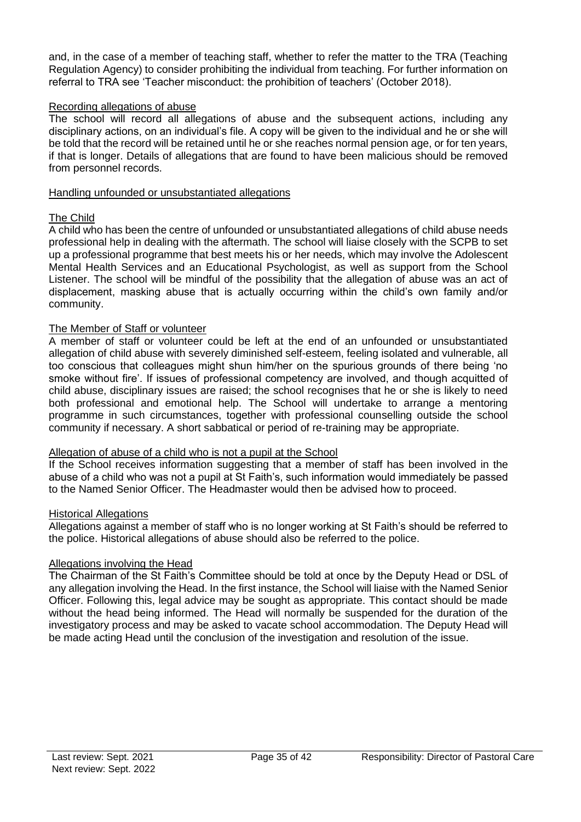and, in the case of a member of teaching staff, whether to refer the matter to the TRA (Teaching Regulation Agency) to consider prohibiting the individual from teaching. For further information on referral to TRA see 'Teacher misconduct: the prohibition of teachers' (October 2018).

#### Recording allegations of abuse

The school will record all allegations of abuse and the subsequent actions, including any disciplinary actions, on an individual's file. A copy will be given to the individual and he or she will be told that the record will be retained until he or she reaches normal pension age, or for ten years, if that is longer. Details of allegations that are found to have been malicious should be removed from personnel records.

#### Handling unfounded or unsubstantiated allegations

#### The Child

A child who has been the centre of unfounded or unsubstantiated allegations of child abuse needs professional help in dealing with the aftermath. The school will liaise closely with the SCPB to set up a professional programme that best meets his or her needs, which may involve the Adolescent Mental Health Services and an Educational Psychologist, as well as support from the School Listener. The school will be mindful of the possibility that the allegation of abuse was an act of displacement, masking abuse that is actually occurring within the child's own family and/or community.

#### The Member of Staff or volunteer

A member of staff or volunteer could be left at the end of an unfounded or unsubstantiated allegation of child abuse with severely diminished self-esteem, feeling isolated and vulnerable, all too conscious that colleagues might shun him/her on the spurious grounds of there being 'no smoke without fire'. If issues of professional competency are involved, and though acquitted of child abuse, disciplinary issues are raised; the school recognises that he or she is likely to need both professional and emotional help. The School will undertake to arrange a mentoring programme in such circumstances, together with professional counselling outside the school community if necessary. A short sabbatical or period of re-training may be appropriate.

#### Allegation of abuse of a child who is not a pupil at the School

If the School receives information suggesting that a member of staff has been involved in the abuse of a child who was not a pupil at St Faith's, such information would immediately be passed to the Named Senior Officer. The Headmaster would then be advised how to proceed.

#### Historical Allegations

Allegations against a member of staff who is no longer working at St Faith's should be referred to the police. Historical allegations of abuse should also be referred to the police.

### Allegations involving the Head

The Chairman of the St Faith's Committee should be told at once by the Deputy Head or DSL of any allegation involving the Head. In the first instance, the School will liaise with the Named Senior Officer. Following this, legal advice may be sought as appropriate. This contact should be made without the head being informed. The Head will normally be suspended for the duration of the investigatory process and may be asked to vacate school accommodation. The Deputy Head will be made acting Head until the conclusion of the investigation and resolution of the issue.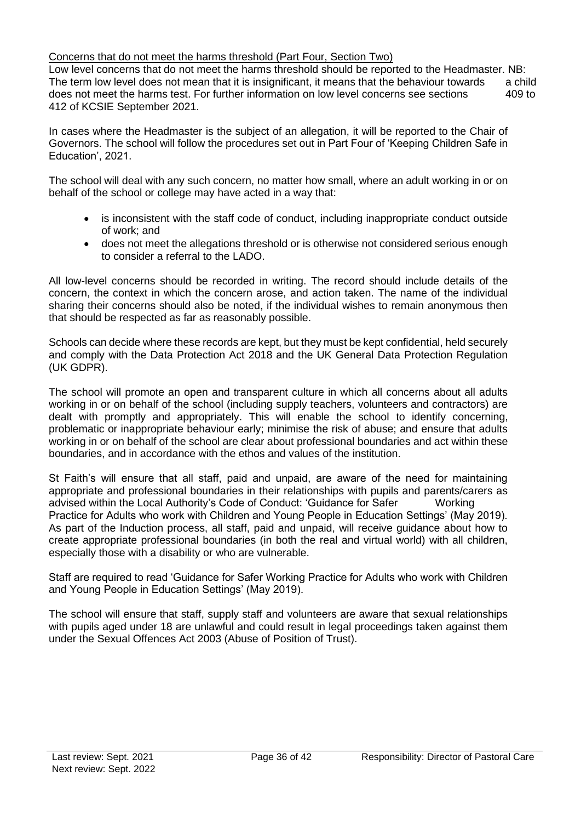### Concerns that do not meet the harms threshold (Part Four, Section Two)

Low level concerns that do not meet the harms threshold should be reported to the Headmaster. NB: The term low level does not mean that it is insignificant, it means that the behaviour towards a child does not meet the harms test. For further information on low level concerns see sections 409 to 412 of KCSIE September 2021.

In cases where the Headmaster is the subject of an allegation, it will be reported to the Chair of Governors. The school will follow the procedures set out in Part Four of 'Keeping Children Safe in Education', 2021.

The school will deal with any such concern, no matter how small, where an adult working in or on behalf of the school or college may have acted in a way that:

- is inconsistent with the staff code of conduct, including inappropriate conduct outside of work; and
- does not meet the allegations threshold or is otherwise not considered serious enough to consider a referral to the LADO.

All low-level concerns should be recorded in writing. The record should include details of the concern, the context in which the concern arose, and action taken. The name of the individual sharing their concerns should also be noted, if the individual wishes to remain anonymous then that should be respected as far as reasonably possible.

Schools can decide where these records are kept, but they must be kept confidential, held securely and comply with the Data Protection Act 2018 and the UK General Data Protection Regulation (UK GDPR).

The school will promote an open and transparent culture in which all concerns about all adults working in or on behalf of the school (including supply teachers, volunteers and contractors) are dealt with promptly and appropriately. This will enable the school to identify concerning, problematic or inappropriate behaviour early; minimise the risk of abuse; and ensure that adults working in or on behalf of the school are clear about professional boundaries and act within these boundaries, and in accordance with the ethos and values of the institution.

St Faith's will ensure that all staff, paid and unpaid, are aware of the need for maintaining appropriate and professional boundaries in their relationships with pupils and parents/carers as advised within the Local Authority's Code of Conduct: 'Guidance for Safer Working Practice for Adults who work with Children and Young People in Education Settings' (May 2019). As part of the Induction process, all staff, paid and unpaid, will receive guidance about how to create appropriate professional boundaries (in both the real and virtual world) with all children, especially those with a disability or who are vulnerable.

Staff are required to read 'Guidance for Safer Working Practice for Adults who work with Children and Young People in Education Settings' (May 2019).

The school will ensure that staff, supply staff and volunteers are aware that sexual relationships with pupils aged under 18 are unlawful and could result in legal proceedings taken against them under the Sexual Offences Act 2003 (Abuse of Position of Trust).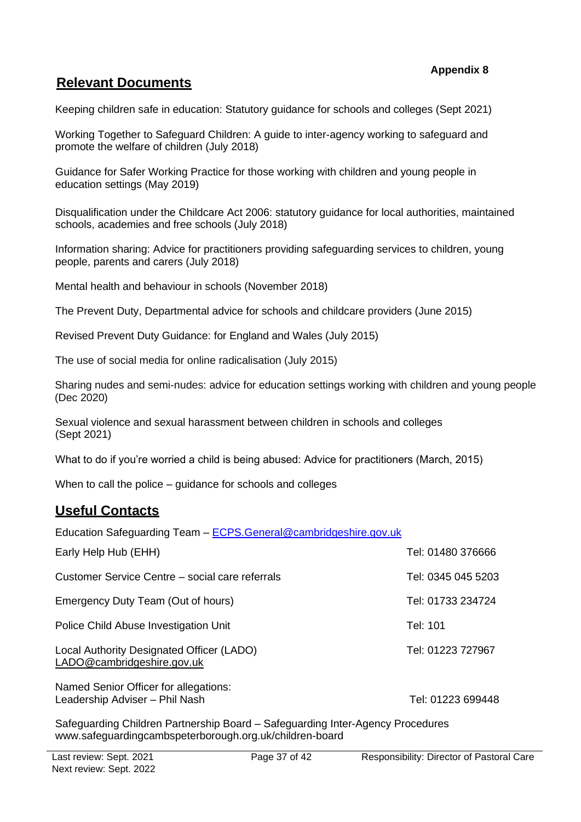#### **Appendix 8**

## **Relevant Documents**

Keeping children safe in education: Statutory guidance for schools and colleges (Sept 2021)

Working Together to Safeguard Children: A guide to inter-agency working to safeguard and promote the welfare of children (July 2018)

Guidance for Safer Working Practice for those working with children and young people in education settings (May 2019)

Disqualification under the Childcare Act 2006: statutory guidance for local authorities, maintained schools, academies and free schools (July 2018)

Information sharing: Advice for practitioners providing safeguarding services to children, young people, parents and carers (July 2018)

Mental health and behaviour in schools (November 2018)

The Prevent Duty, Departmental advice for schools and childcare providers (June 2015)

Revised Prevent Duty Guidance: for England and Wales (July 2015)

The use of social media for online radicalisation (July 2015)

Sharing nudes and semi-nudes: advice for education settings working with children and young people (Dec 2020)

Sexual violence and sexual harassment between children in schools and colleges (Sept 2021)

What to do if you're worried a child is being abused: Advice for practitioners (March, 2015)

When to call the police – guidance for schools and colleges

## **Useful Contacts**

Education Safeguarding Team – [ECPS.General@cambridgeshire.gov.uk](mailto:ECPS.General@cambridgeshire.gov.uk)

| Early Help Hub (EHH)                                                    | Tel: 01480 376666  |
|-------------------------------------------------------------------------|--------------------|
| Customer Service Centre – social care referrals                         | Tel: 0345 045 5203 |
| Emergency Duty Team (Out of hours)                                      | Tel: 01733 234724  |
| Police Child Abuse Investigation Unit                                   | Tel: 101           |
| Local Authority Designated Officer (LADO)<br>LADO@cambridgeshire.gov.uk | Tel: 01223 727967  |
| Named Senior Officer for allegations:<br>Leadership Adviser - Phil Nash | Tel: 01223 699448  |
|                                                                         |                    |

Safeguarding Children Partnership Board – Safeguarding Inter-Agency Procedure[s](http://www.safeguardingcambspeterborough.org.uk/children-board) [www.safeguardingcambspeterborough.org.uk/children-board](http://www.safeguardingcambspeterborough.org.uk/children-board)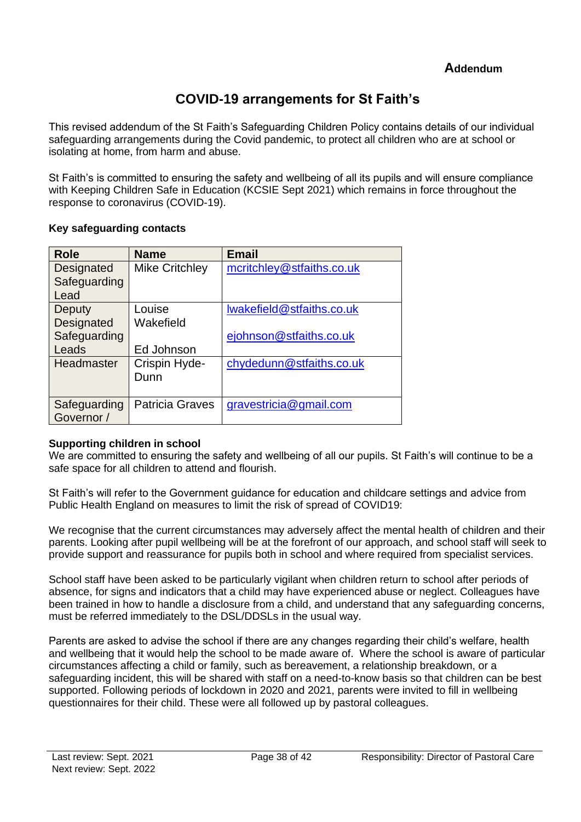# **COVID-19 arrangements for St Faith's**

This revised addendum of the St Faith's Safeguarding Children Policy contains details of our individual safeguarding arrangements during the Covid pandemic, to protect all children who are at school or isolating at home, from harm and abuse.

St Faith's is committed to ensuring the safety and wellbeing of all its pupils and will ensure compliance with Keeping Children Safe in Education (KCSIE Sept 2021) which remains in force throughout the response to coronavirus (COVID-19).

#### **Key safeguarding contacts**

| <b>Role</b>  | <b>Name</b>            | <b>Email</b>              |
|--------------|------------------------|---------------------------|
| Designated   | <b>Mike Critchley</b>  | mcritchley@stfaiths.co.uk |
| Safeguarding |                        |                           |
| Lead         |                        |                           |
| Deputy       | Louise                 | Iwakefield@stfaiths.co.uk |
| Designated   | Wakefield              |                           |
| Safeguarding |                        | ejohnson@stfaiths.co.uk   |
| Leads        | Ed Johnson             |                           |
| Headmaster   | Crispin Hyde-          | chydedunn@stfaiths.co.uk  |
|              | Dunn                   |                           |
|              |                        |                           |
| Safeguarding | <b>Patricia Graves</b> | gravestricia@gmail.com    |
| Governor /   |                        |                           |

### **Supporting children in school**

We are committed to ensuring the safety and wellbeing of all our pupils. St Faith's will continue to be a safe space for all children to attend and flourish.

St Faith's will refer to the Government guidance for education and childcare settings and advice from Public Health England on measures to limit the risk of spread of COVID19:

We recognise that the current circumstances may adversely affect the mental health of children and their parents. Looking after pupil wellbeing will be at the forefront of our approach, and school staff will seek to provide support and reassurance for pupils both in school and where required from specialist services.

School staff have been asked to be particularly vigilant when children return to school after periods of absence, for signs and indicators that a child may have experienced abuse or neglect. Colleagues have been trained in how to handle a disclosure from a child, and understand that any safeguarding concerns, must be referred immediately to the DSL/DDSLs in the usual way.

Parents are asked to advise the school if there are any changes regarding their child's welfare, health and wellbeing that it would help the school to be made aware of. Where the school is aware of particular circumstances affecting a child or family, such as bereavement, a relationship breakdown, or a safeguarding incident, this will be shared with staff on a need-to-know basis so that children can be best supported. Following periods of lockdown in 2020 and 2021, parents were invited to fill in wellbeing questionnaires for their child. These were all followed up by pastoral colleagues.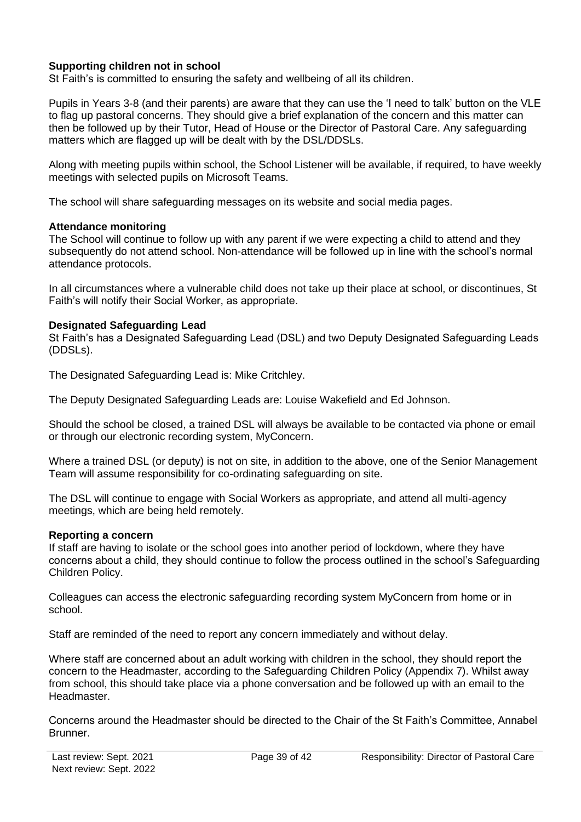### **Supporting children not in school**

St Faith's is committed to ensuring the safety and wellbeing of all its children.

Pupils in Years 3-8 (and their parents) are aware that they can use the 'I need to talk' button on the VLE to flag up pastoral concerns. They should give a brief explanation of the concern and this matter can then be followed up by their Tutor, Head of House or the Director of Pastoral Care. Any safeguarding matters which are flagged up will be dealt with by the DSL/DDSLs.

Along with meeting pupils within school, the School Listener will be available, if required, to have weekly meetings with selected pupils on Microsoft Teams.

The school will share safeguarding messages on its website and social media pages.

#### **Attendance monitoring**

The School will continue to follow up with any parent if we were expecting a child to attend and they subsequently do not attend school. Non-attendance will be followed up in line with the school's normal attendance protocols.

In all circumstances where a vulnerable child does not take up their place at school, or discontinues, St Faith's will notify their Social Worker, as appropriate.

#### **Designated Safeguarding Lead**

St Faith's has a Designated Safeguarding Lead (DSL) and two Deputy Designated Safeguarding Leads (DDSLs).

The Designated Safeguarding Lead is: Mike Critchley.

The Deputy Designated Safeguarding Leads are: Louise Wakefield and Ed Johnson.

Should the school be closed, a trained DSL will always be available to be contacted via phone or email or through our electronic recording system, MyConcern.

Where a trained DSL (or deputy) is not on site, in addition to the above, one of the Senior Management Team will assume responsibility for co-ordinating safeguarding on site.

The DSL will continue to engage with Social Workers as appropriate, and attend all multi-agency meetings, which are being held remotely.

#### **Reporting a concern**

If staff are having to isolate or the school goes into another period of lockdown, where they have concerns about a child, they should continue to follow the process outlined in the school's Safeguarding Children Policy.

Colleagues can access the electronic safeguarding recording system MyConcern from home or in school.

Staff are reminded of the need to report any concern immediately and without delay.

Where staff are concerned about an adult working with children in the school, they should report the concern to the Headmaster, according to the Safeguarding Children Policy (Appendix 7). Whilst away from school, this should take place via a phone conversation and be followed up with an email to the Headmaster.

Concerns around the Headmaster should be directed to the Chair of the St Faith's Committee, Annabel Brunner.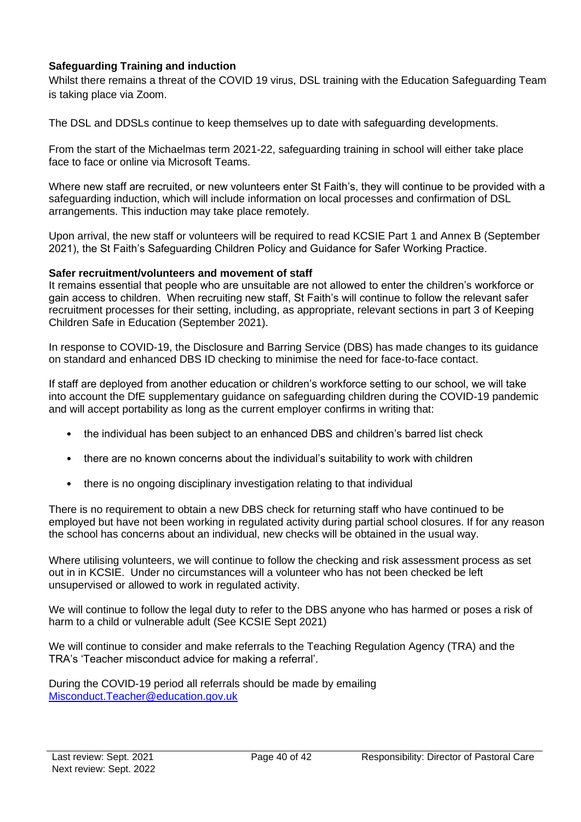### **Safeguarding Training and induction**

Whilst there remains a threat of the COVID 19 virus, DSL training with the Education Safeguarding Team is taking place via Zoom.

The DSL and DDSLs continue to keep themselves up to date with safeguarding developments.

From the start of the Michaelmas term 2021-22, safeguarding training in school will either take place face to face or online via Microsoft Teams.

Where new staff are recruited, or new volunteers enter St Faith's, they will continue to be provided with a safeguarding induction, which will include information on local processes and confirmation of DSL arrangements. This induction may take place remotely.

Upon arrival, the new staff or volunteers will be required to read KCSIE Part 1 and Annex B (September 2021), the St Faith's Safeguarding Children Policy and Guidance for Safer Working Practice.

#### **Safer recruitment/volunteers and movement of staff**

It remains essential that people who are unsuitable are not allowed to enter the children's workforce or gain access to children. When recruiting new staff, St Faith's will continue to follow the relevant safer recruitment processes for their setting, including, as appropriate, relevant sections in part 3 of Keeping Children Safe in Education (September 2021).

In response to COVID-19, the Disclosure and Barring Service (DBS) has made changes to its guidance on standard and enhanced DBS ID checking to minimise the need for face-to-face contact.

If staff are deployed from another education or children's workforce setting to our school, we will take into account the DfE supplementary guidance on safeguarding children during the COVID-19 pandemic and will accept portability as long as the current employer confirms in writing that:

- the individual has been subject to an enhanced DBS and children's barred list check
- there are no known concerns about the individual's suitability to work with children
- there is no ongoing disciplinary investigation relating to that individual

There is no requirement to obtain a new DBS check for returning staff who have continued to be employed but have not been working in regulated activity during partial school closures. If for any reason the school has concerns about an individual, new checks will be obtained in the usual way.

Where utilising volunteers, we will continue to follow the checking and risk assessment process as set out in in KCSIE. Under no circumstances will a volunteer who has not been checked be left unsupervised or allowed to work in regulated activity.

We will continue to follow the legal duty to refer to the DBS anyone who has harmed or poses a risk of harm to a child or vulnerable adult (See KCSIE Sept 2021)

We will continue to consider and make referrals to the Teaching Regulation Agency (TRA) and the TRA's 'Teacher misconduct advice for making a referral'.

During the COVID-19 period all referrals should be made by emailing [Misconduct.Teacher@education.gov.uk](mailto:Misconduct.Teacher@education.gov.uk)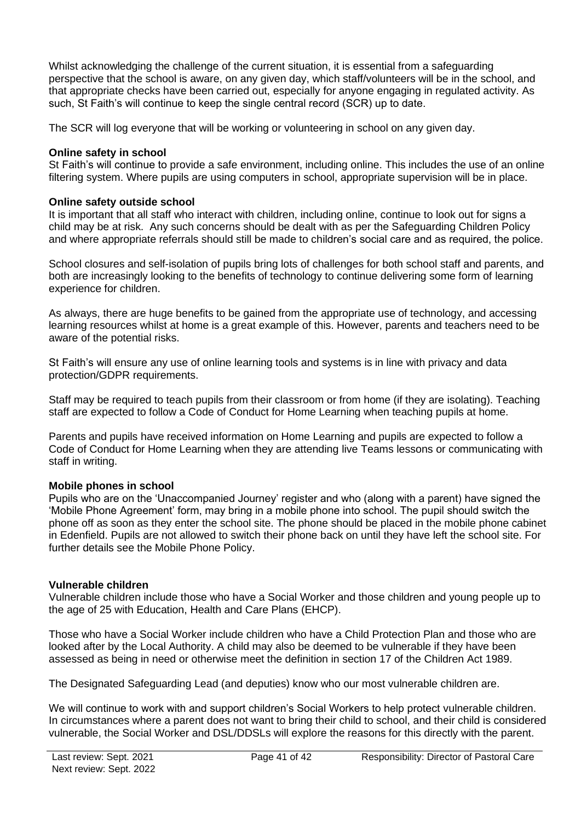Whilst acknowledging the challenge of the current situation, it is essential from a safeguarding perspective that the school is aware, on any given day, which staff/volunteers will be in the school, and that appropriate checks have been carried out, especially for anyone engaging in regulated activity. As such, St Faith's will continue to keep the single central record (SCR) up to date.

The SCR will log everyone that will be working or volunteering in school on any given day.

#### **Online safety in school**

St Faith's will continue to provide a safe environment, including online. This includes the use of an online filtering system. Where pupils are using computers in school, appropriate supervision will be in place.

#### **Online safety outside school**

It is important that all staff who interact with children, including online, continue to look out for signs a child may be at risk. Any such concerns should be dealt with as per the Safeguarding Children Policy and where appropriate referrals should still be made to children's social care and as required, the police.

School closures and self-isolation of pupils bring lots of challenges for both school staff and parents, and both are increasingly looking to the benefits of technology to continue delivering some form of learning experience for children.

As always, there are huge benefits to be gained from the appropriate use of technology, and accessing learning resources whilst at home is a great example of this. However, parents and teachers need to be aware of the potential risks.

St Faith's will ensure any use of online learning tools and systems is in line with privacy and data protection/GDPR requirements.

Staff may be required to teach pupils from their classroom or from home (if they are isolating). Teaching staff are expected to follow a Code of Conduct for Home Learning when teaching pupils at home.

Parents and pupils have received information on Home Learning and pupils are expected to follow a Code of Conduct for Home Learning when they are attending live Teams lessons or communicating with staff in writing.

### **Mobile phones in school**

Pupils who are on the 'Unaccompanied Journey' register and who (along with a parent) have signed the 'Mobile Phone Agreement' form, may bring in a mobile phone into school. The pupil should switch the phone off as soon as they enter the school site. The phone should be placed in the mobile phone cabinet in Edenfield. Pupils are not allowed to switch their phone back on until they have left the school site. For further details see the Mobile Phone Policy.

### **Vulnerable children**

Vulnerable children include those who have a Social Worker and those children and young people up to the age of 25 with Education, Health and Care Plans (EHCP).

Those who have a Social Worker include children who have a Child Protection Plan and those who are looked after by the Local Authority. A child may also be deemed to be vulnerable if they have been assessed as being in need or otherwise meet the definition in section 17 of the Children Act 1989.

The Designated Safeguarding Lead (and deputies) know who our most vulnerable children are.

We will continue to work with and support children's Social Workers to help protect vulnerable children. In circumstances where a parent does not want to bring their child to school, and their child is considered vulnerable, the Social Worker and DSL/DDSLs will explore the reasons for this directly with the parent.